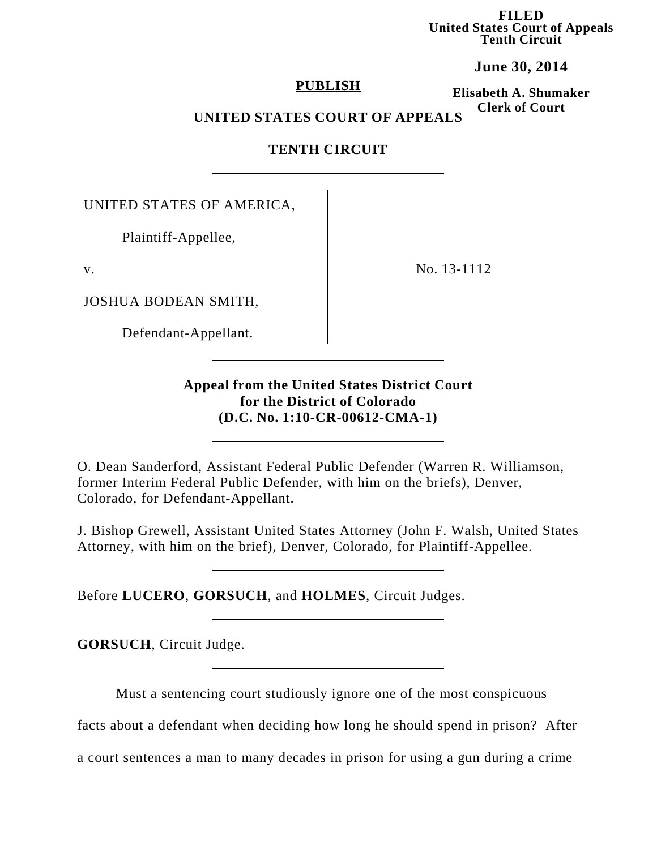**FILED United States Court of Appeals Tenth Circuit**

**June 30, 2014**

### **PUBLISH**

**Elisabeth A. Shumaker Clerk of Court**

## **UNITED STATES COURT OF APPEALS**

# **TENTH CIRCUIT**

UNITED STATES OF AMERICA,

Plaintiff-Appellee,

v.

JOSHUA BODEAN SMITH,

Defendant-Appellant.

No. 13-1112

## **Appeal from the United States District Court for the District of Colorado (D.C. No. 1:10-CR-00612-CMA-1)**

O. Dean Sanderford, Assistant Federal Public Defender (Warren R. Williamson, former Interim Federal Public Defender, with him on the briefs), Denver, Colorado, for Defendant-Appellant.

J. Bishop Grewell, Assistant United States Attorney (John F. Walsh, United States Attorney, with him on the brief), Denver, Colorado, for Plaintiff-Appellee.

Before **LUCERO**, **GORSUCH**, and **HOLMES**, Circuit Judges.

**GORSUCH**, Circuit Judge.

Must a sentencing court studiously ignore one of the most conspicuous

facts about a defendant when deciding how long he should spend in prison? After

a court sentences a man to many decades in prison for using a gun during a crime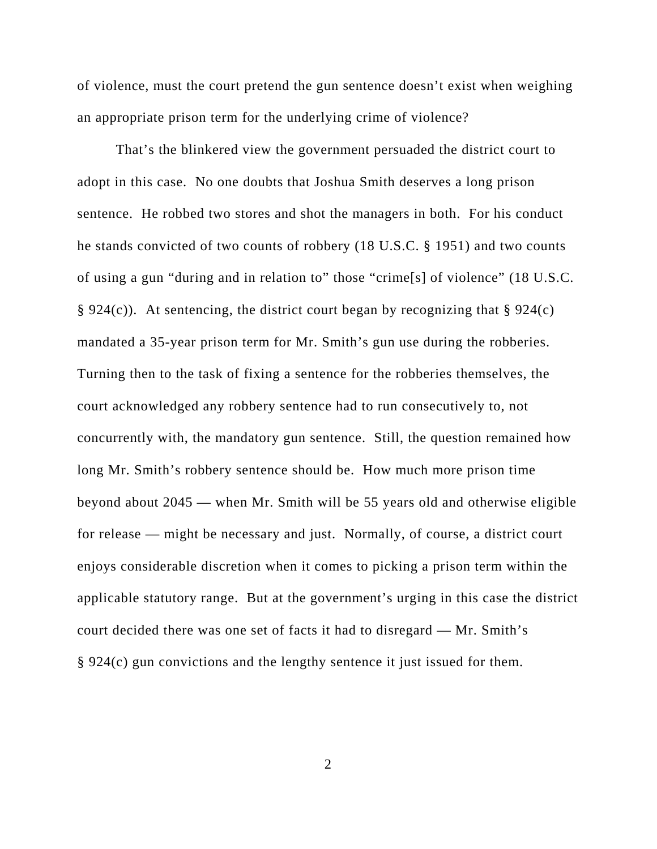of violence, must the court pretend the gun sentence doesn't exist when weighing an appropriate prison term for the underlying crime of violence?

That's the blinkered view the government persuaded the district court to adopt in this case. No one doubts that Joshua Smith deserves a long prison sentence. He robbed two stores and shot the managers in both. For his conduct he stands convicted of two counts of robbery (18 U.S.C. § 1951) and two counts of using a gun "during and in relation to" those "crime[s] of violence" (18 U.S.C. § 924(c)). At sentencing, the district court began by recognizing that § 924(c) mandated a 35-year prison term for Mr. Smith's gun use during the robberies. Turning then to the task of fixing a sentence for the robberies themselves, the court acknowledged any robbery sentence had to run consecutively to, not concurrently with, the mandatory gun sentence. Still, the question remained how long Mr. Smith's robbery sentence should be. How much more prison time beyond about 2045 — when Mr. Smith will be 55 years old and otherwise eligible for release — might be necessary and just. Normally, of course, a district court enjoys considerable discretion when it comes to picking a prison term within the applicable statutory range. But at the government's urging in this case the district court decided there was one set of facts it had to disregard — Mr. Smith's § 924(c) gun convictions and the lengthy sentence it just issued for them.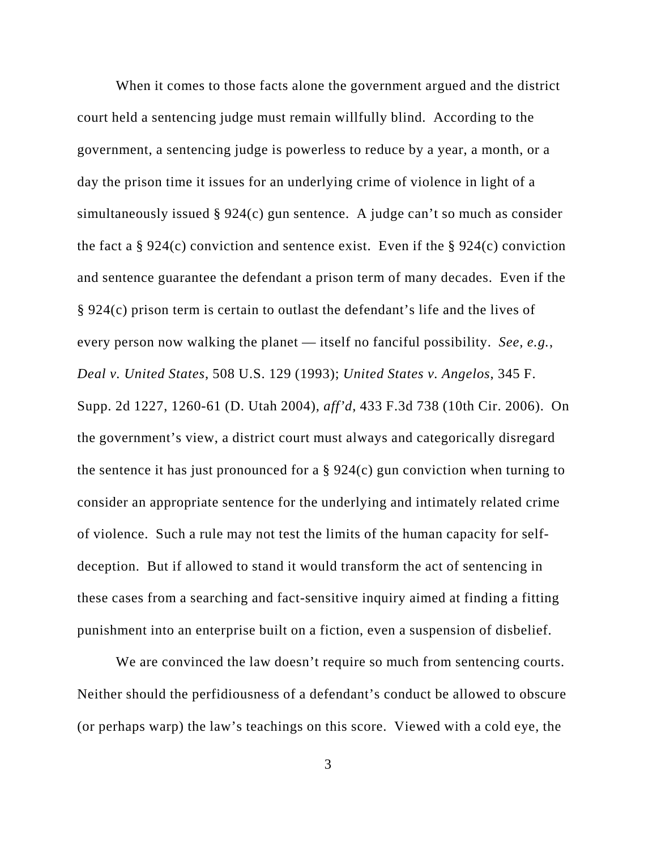When it comes to those facts alone the government argued and the district court held a sentencing judge must remain willfully blind. According to the government, a sentencing judge is powerless to reduce by a year, a month, or a day the prison time it issues for an underlying crime of violence in light of a simultaneously issued § 924(c) gun sentence. A judge can't so much as consider the fact a  $\S 924(c)$  conviction and sentence exist. Even if the  $\S 924(c)$  conviction and sentence guarantee the defendant a prison term of many decades. Even if the § 924(c) prison term is certain to outlast the defendant's life and the lives of every person now walking the planet — itself no fanciful possibility. *See, e.g.*, *Deal v. United States*, 508 U.S. 129 (1993); *United States v. Angelos*, 345 F. Supp. 2d 1227, 1260-61 (D. Utah 2004), *aff'd*, 433 F.3d 738 (10th Cir. 2006). On the government's view, a district court must always and categorically disregard the sentence it has just pronounced for a  $\S 924(c)$  gun conviction when turning to consider an appropriate sentence for the underlying and intimately related crime of violence. Such a rule may not test the limits of the human capacity for selfdeception. But if allowed to stand it would transform the act of sentencing in these cases from a searching and fact-sensitive inquiry aimed at finding a fitting punishment into an enterprise built on a fiction, even a suspension of disbelief.

We are convinced the law doesn't require so much from sentencing courts. Neither should the perfidiousness of a defendant's conduct be allowed to obscure (or perhaps warp) the law's teachings on this score. Viewed with a cold eye, the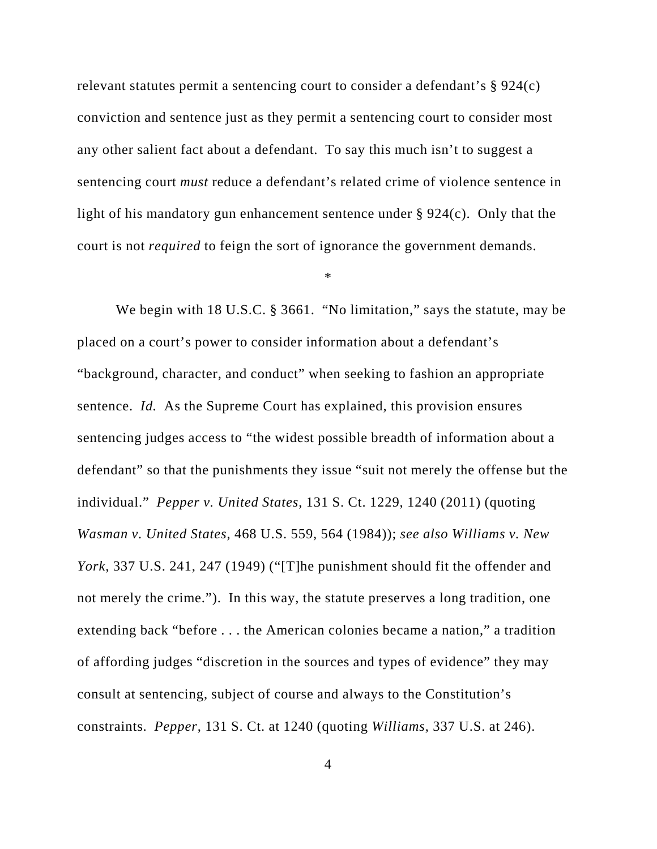relevant statutes permit a sentencing court to consider a defendant's § 924(c) conviction and sentence just as they permit a sentencing court to consider most any other salient fact about a defendant. To say this much isn't to suggest a sentencing court *must* reduce a defendant's related crime of violence sentence in light of his mandatory gun enhancement sentence under § 924(c). Only that the court is not *required* to feign the sort of ignorance the government demands.

\*

We begin with 18 U.S.C. § 3661. "No limitation," says the statute, may be placed on a court's power to consider information about a defendant's "background, character, and conduct" when seeking to fashion an appropriate sentence. *Id.* As the Supreme Court has explained, this provision ensures sentencing judges access to "the widest possible breadth of information about a defendant" so that the punishments they issue "suit not merely the offense but the individual." *Pepper v. United States*, 131 S. Ct. 1229, 1240 (2011) (quoting *Wasman v. United States*, 468 U.S. 559, 564 (1984)); *see also Williams v. New York*, 337 U.S. 241, 247 (1949) ("[T]he punishment should fit the offender and not merely the crime."). In this way, the statute preserves a long tradition, one extending back "before . . . the American colonies became a nation," a tradition of affording judges "discretion in the sources and types of evidence" they may consult at sentencing, subject of course and always to the Constitution's constraints. *Pepper*, 131 S. Ct. at 1240 (quoting *Williams*, 337 U.S. at 246).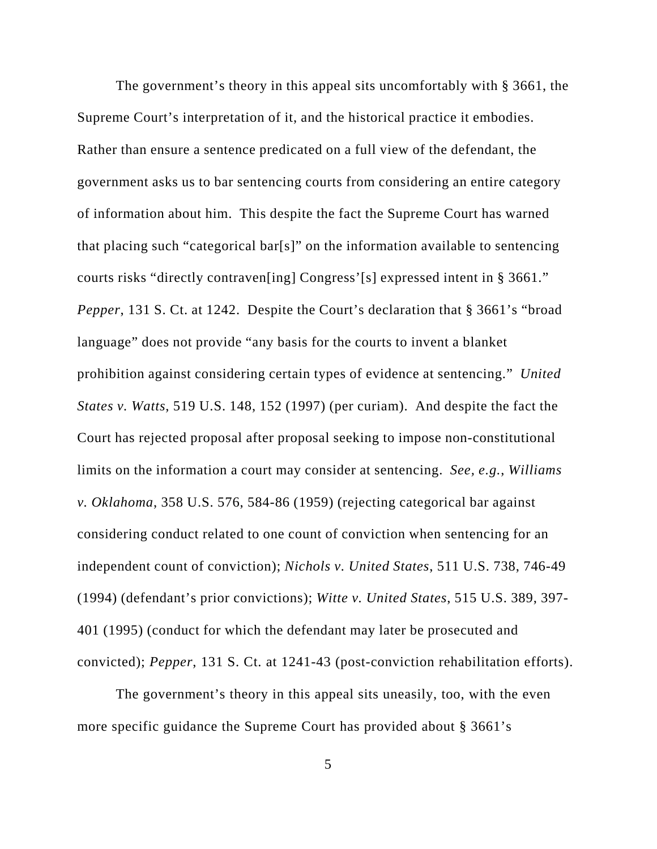The government's theory in this appeal sits uncomfortably with § 3661, the Supreme Court's interpretation of it, and the historical practice it embodies. Rather than ensure a sentence predicated on a full view of the defendant, the government asks us to bar sentencing courts from considering an entire category of information about him. This despite the fact the Supreme Court has warned that placing such "categorical bar[s]" on the information available to sentencing courts risks "directly contraven[ing] Congress'[s] expressed intent in § 3661." *Pepper*, 131 S. Ct. at 1242. Despite the Court's declaration that § 3661's "broad language" does not provide "any basis for the courts to invent a blanket prohibition against considering certain types of evidence at sentencing." *United States v. Watts*, 519 U.S. 148, 152 (1997) (per curiam). And despite the fact the Court has rejected proposal after proposal seeking to impose non-constitutional limits on the information a court may consider at sentencing. *See, e.g.*, *Williams v. Oklahoma*, 358 U.S. 576, 584-86 (1959) (rejecting categorical bar against considering conduct related to one count of conviction when sentencing for an independent count of conviction); *Nichols v. United States*, 511 U.S. 738, 746-49 (1994) (defendant's prior convictions); *Witte v. United States*, 515 U.S. 389, 397- 401 (1995) (conduct for which the defendant may later be prosecuted and convicted); *Pepper*, 131 S. Ct. at 1241-43 (post-conviction rehabilitation efforts).

The government's theory in this appeal sits uneasily, too, with the even more specific guidance the Supreme Court has provided about § 3661's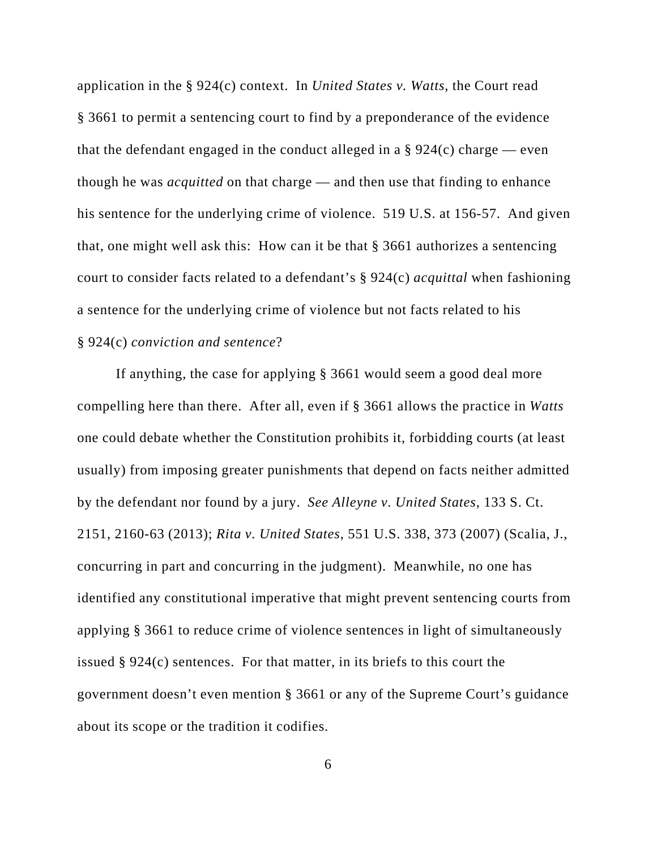application in the § 924(c) context. In *United States v. Watts*, the Court read § 3661 to permit a sentencing court to find by a preponderance of the evidence that the defendant engaged in the conduct alleged in a  $\S 924(c)$  charge — even though he was *acquitted* on that charge — and then use that finding to enhance his sentence for the underlying crime of violence. 519 U.S. at 156-57. And given that, one might well ask this: How can it be that § 3661 authorizes a sentencing court to consider facts related to a defendant's § 924(c) *acquittal* when fashioning a sentence for the underlying crime of violence but not facts related to his § 924(c) *conviction and sentence*?

If anything, the case for applying § 3661 would seem a good deal more compelling here than there. After all, even if § 3661 allows the practice in *Watts* one could debate whether the Constitution prohibits it, forbidding courts (at least usually) from imposing greater punishments that depend on facts neither admitted by the defendant nor found by a jury. *See Alleyne v. United States*, 133 S. Ct. 2151, 2160-63 (2013); *Rita v. United States*, 551 U.S. 338, 373 (2007) (Scalia, J., concurring in part and concurring in the judgment). Meanwhile, no one has identified any constitutional imperative that might prevent sentencing courts from applying § 3661 to reduce crime of violence sentences in light of simultaneously issued § 924(c) sentences. For that matter, in its briefs to this court the government doesn't even mention § 3661 or any of the Supreme Court's guidance about its scope or the tradition it codifies.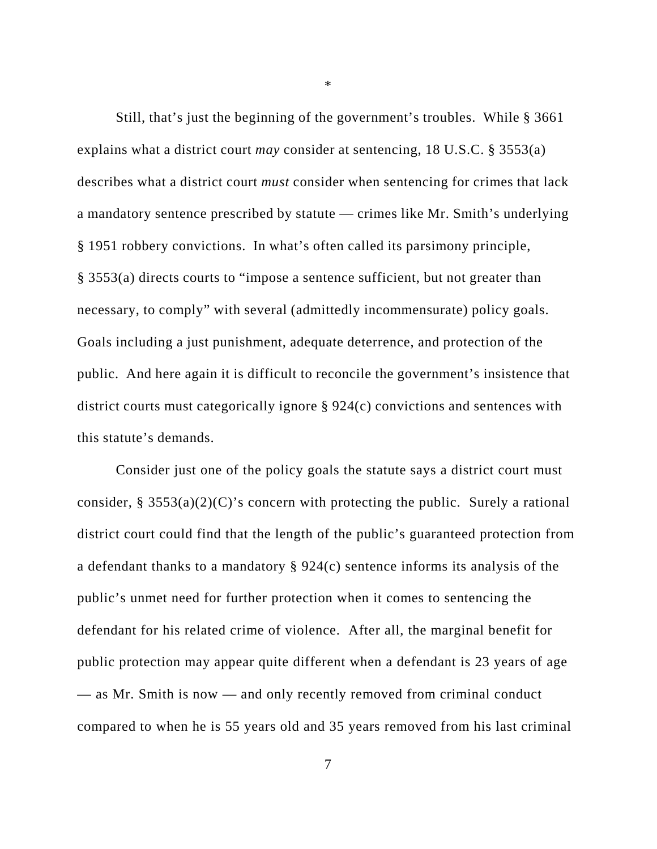Still, that's just the beginning of the government's troubles. While § 3661 explains what a district court *may* consider at sentencing, 18 U.S.C. § 3553(a) describes what a district court *must* consider when sentencing for crimes that lack a mandatory sentence prescribed by statute — crimes like Mr. Smith's underlying § 1951 robbery convictions. In what's often called its parsimony principle, § 3553(a) directs courts to "impose a sentence sufficient, but not greater than necessary, to comply" with several (admittedly incommensurate) policy goals. Goals including a just punishment, adequate deterrence, and protection of the public. And here again it is difficult to reconcile the government's insistence that district courts must categorically ignore § 924(c) convictions and sentences with this statute's demands.

Consider just one of the policy goals the statute says a district court must consider, § 3553(a)(2)(C)'s concern with protecting the public. Surely a rational district court could find that the length of the public's guaranteed protection from a defendant thanks to a mandatory § 924(c) sentence informs its analysis of the public's unmet need for further protection when it comes to sentencing the defendant for his related crime of violence. After all, the marginal benefit for public protection may appear quite different when a defendant is 23 years of age — as Mr. Smith is now — and only recently removed from criminal conduct compared to when he is 55 years old and 35 years removed from his last criminal

\*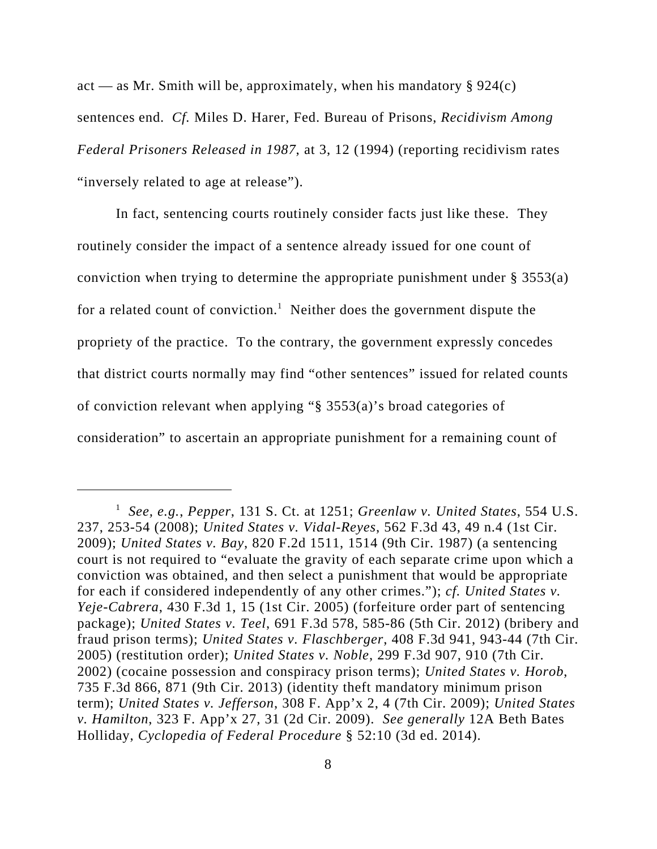act — as Mr. Smith will be, approximately, when his mandatory  $\S 924(c)$ sentences end. *Cf.* Miles D. Harer, Fed. Bureau of Prisons, *Recidivism Among Federal Prisoners Released in 1987*, at 3, 12 (1994) (reporting recidivism rates "inversely related to age at release").

In fact, sentencing courts routinely consider facts just like these. They routinely consider the impact of a sentence already issued for one count of conviction when trying to determine the appropriate punishment under  $\S 3553(a)$ for a related count of conviction.<sup>1</sup> Neither does the government dispute the propriety of the practice. To the contrary, the government expressly concedes that district courts normally may find "other sentences" issued for related counts of conviction relevant when applying "§ 3553(a)'s broad categories of consideration" to ascertain an appropriate punishment for a remaining count of

<sup>1</sup> *See, e.g.*, *Pepper*, 131 S. Ct. at 1251; *Greenlaw v. United States*, 554 U.S. 237, 253-54 (2008); *United States v. Vidal-Reyes*, 562 F.3d 43, 49 n.4 (1st Cir. 2009); *United States v. Bay*, 820 F.2d 1511, 1514 (9th Cir. 1987) (a sentencing court is not required to "evaluate the gravity of each separate crime upon which a conviction was obtained, and then select a punishment that would be appropriate for each if considered independently of any other crimes."); *cf. United States v. Yeje-Cabrera*, 430 F.3d 1, 15 (1st Cir. 2005) (forfeiture order part of sentencing package); *United States v. Teel*, 691 F.3d 578, 585-86 (5th Cir. 2012) (bribery and fraud prison terms); *United States v. Flaschberger*, 408 F.3d 941, 943-44 (7th Cir. 2005) (restitution order); *United States v. Noble*, 299 F.3d 907, 910 (7th Cir. 2002) (cocaine possession and conspiracy prison terms); *United States v. Horob*, 735 F.3d 866, 871 (9th Cir. 2013) (identity theft mandatory minimum prison term); *United States v. Jefferson*, 308 F. App'x 2, 4 (7th Cir. 2009); *United States v. Hamilton*, 323 F. App'x 27, 31 (2d Cir. 2009). *See generally* 12A Beth Bates Holliday, *Cyclopedia of Federal Procedure* § 52:10 (3d ed. 2014).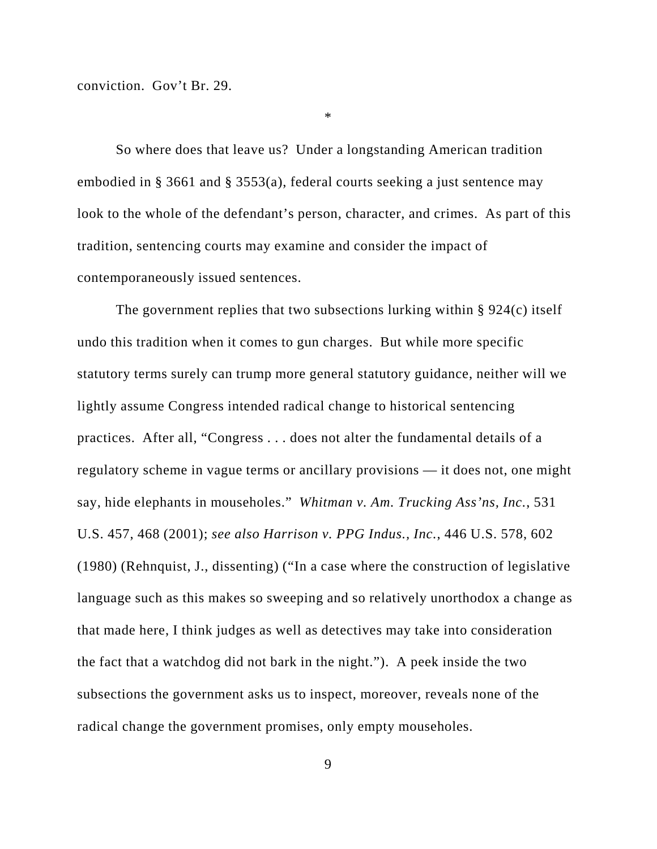conviction. Gov't Br. 29.

\*

So where does that leave us? Under a longstanding American tradition embodied in § 3661 and § 3553(a), federal courts seeking a just sentence may look to the whole of the defendant's person, character, and crimes. As part of this tradition, sentencing courts may examine and consider the impact of contemporaneously issued sentences.

The government replies that two subsections lurking within § 924(c) itself undo this tradition when it comes to gun charges. But while more specific statutory terms surely can trump more general statutory guidance, neither will we lightly assume Congress intended radical change to historical sentencing practices. After all, "Congress . . . does not alter the fundamental details of a regulatory scheme in vague terms or ancillary provisions — it does not, one might say, hide elephants in mouseholes." *Whitman v. Am. Trucking Ass'ns, Inc.*, 531 U.S. 457, 468 (2001); *see also Harrison v. PPG Indus., Inc.*, 446 U.S. 578, 602 (1980) (Rehnquist, J., dissenting) ("In a case where the construction of legislative language such as this makes so sweeping and so relatively unorthodox a change as that made here, I think judges as well as detectives may take into consideration the fact that a watchdog did not bark in the night."). A peek inside the two subsections the government asks us to inspect, moreover, reveals none of the radical change the government promises, only empty mouseholes.

9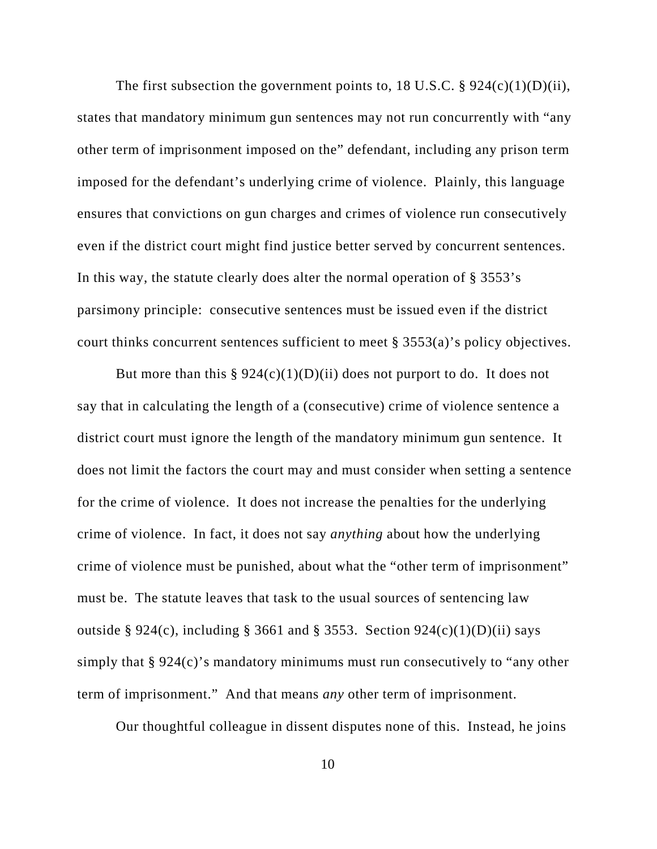The first subsection the government points to, 18 U.S.C. §  $924(c)(1)(D)(ii)$ , states that mandatory minimum gun sentences may not run concurrently with "any other term of imprisonment imposed on the" defendant, including any prison term imposed for the defendant's underlying crime of violence. Plainly, this language ensures that convictions on gun charges and crimes of violence run consecutively even if the district court might find justice better served by concurrent sentences. In this way, the statute clearly does alter the normal operation of § 3553's parsimony principle: consecutive sentences must be issued even if the district court thinks concurrent sentences sufficient to meet § 3553(a)'s policy objectives.

But more than this  $\S 924(c)(1)(D)(ii)$  does not purport to do. It does not say that in calculating the length of a (consecutive) crime of violence sentence a district court must ignore the length of the mandatory minimum gun sentence. It does not limit the factors the court may and must consider when setting a sentence for the crime of violence. It does not increase the penalties for the underlying crime of violence. In fact, it does not say *anything* about how the underlying crime of violence must be punished, about what the "other term of imprisonment" must be. The statute leaves that task to the usual sources of sentencing law outside § 924(c), including § 3661 and § 3553. Section 924(c)(1)(D)(ii) says simply that § 924(c)'s mandatory minimums must run consecutively to "any other term of imprisonment." And that means *any* other term of imprisonment.

Our thoughtful colleague in dissent disputes none of this. Instead, he joins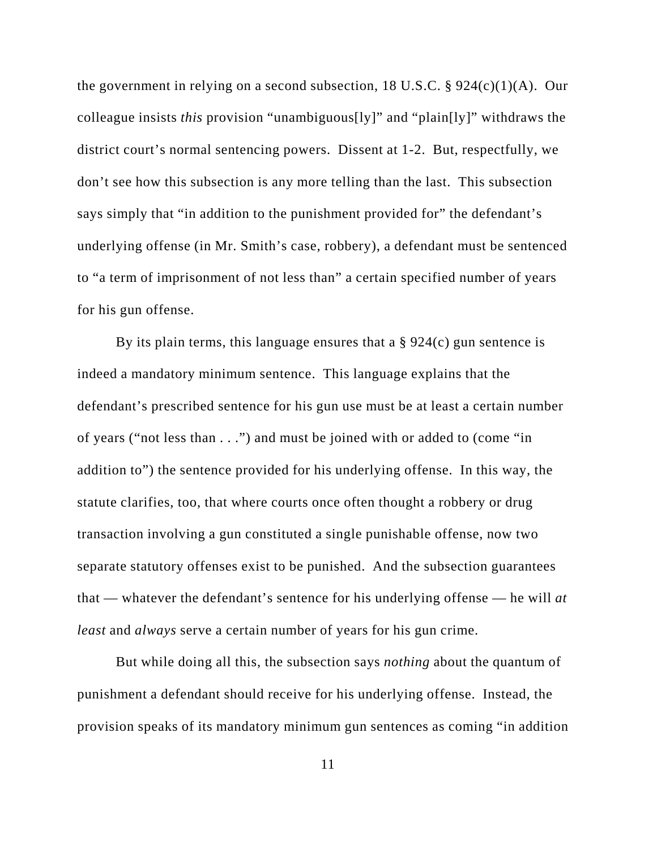the government in relying on a second subsection, 18 U.S.C. §  $924(c)(1)(A)$ . Our colleague insists *this* provision "unambiguous[ly]" and "plain[ly]" withdraws the district court's normal sentencing powers. Dissent at 1-2. But, respectfully, we don't see how this subsection is any more telling than the last. This subsection says simply that "in addition to the punishment provided for" the defendant's underlying offense (in Mr. Smith's case, robbery), a defendant must be sentenced to "a term of imprisonment of not less than" a certain specified number of years for his gun offense.

By its plain terms, this language ensures that a  $\S 924(c)$  gun sentence is indeed a mandatory minimum sentence. This language explains that the defendant's prescribed sentence for his gun use must be at least a certain number of years ("not less than . . .") and must be joined with or added to (come "in addition to") the sentence provided for his underlying offense. In this way, the statute clarifies, too, that where courts once often thought a robbery or drug transaction involving a gun constituted a single punishable offense, now two separate statutory offenses exist to be punished. And the subsection guarantees that — whatever the defendant's sentence for his underlying offense — he will *at least* and *always* serve a certain number of years for his gun crime.

But while doing all this, the subsection says *nothing* about the quantum of punishment a defendant should receive for his underlying offense. Instead, the provision speaks of its mandatory minimum gun sentences as coming "in addition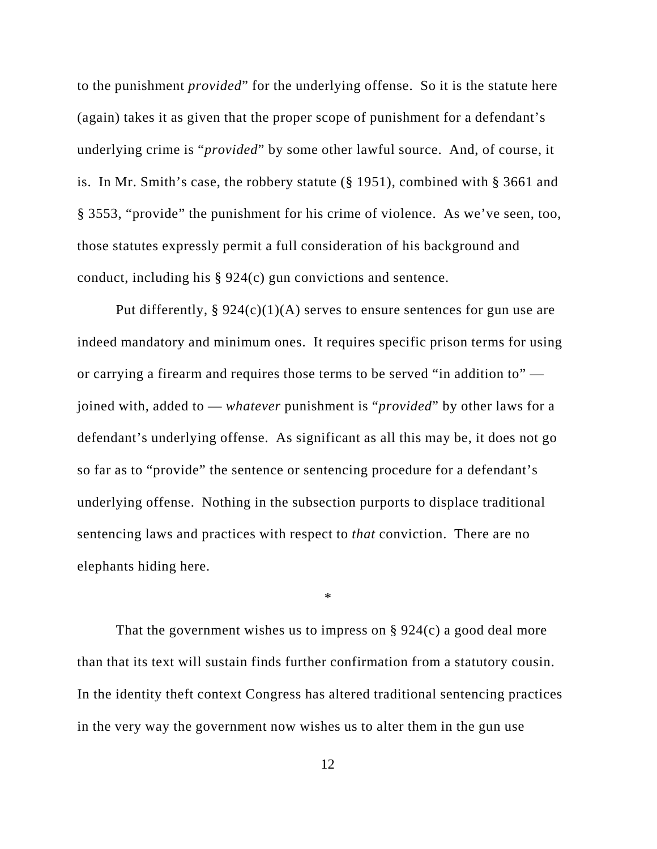to the punishment *provided*" for the underlying offense. So it is the statute here (again) takes it as given that the proper scope of punishment for a defendant's underlying crime is "*provided*" by some other lawful source. And, of course, it is. In Mr. Smith's case, the robbery statute (§ 1951), combined with § 3661 and § 3553, "provide" the punishment for his crime of violence. As we've seen, too, those statutes expressly permit a full consideration of his background and conduct, including his § 924(c) gun convictions and sentence.

Put differently, §  $924(c)(1)(A)$  serves to ensure sentences for gun use are indeed mandatory and minimum ones. It requires specific prison terms for using or carrying a firearm and requires those terms to be served "in addition to" joined with, added to — *whatever* punishment is "*provided*" by other laws for a defendant's underlying offense. As significant as all this may be, it does not go so far as to "provide" the sentence or sentencing procedure for a defendant's underlying offense. Nothing in the subsection purports to displace traditional sentencing laws and practices with respect to *that* conviction. There are no elephants hiding here.

\*

That the government wishes us to impress on  $\S 924(c)$  a good deal more than that its text will sustain finds further confirmation from a statutory cousin. In the identity theft context Congress has altered traditional sentencing practices in the very way the government now wishes us to alter them in the gun use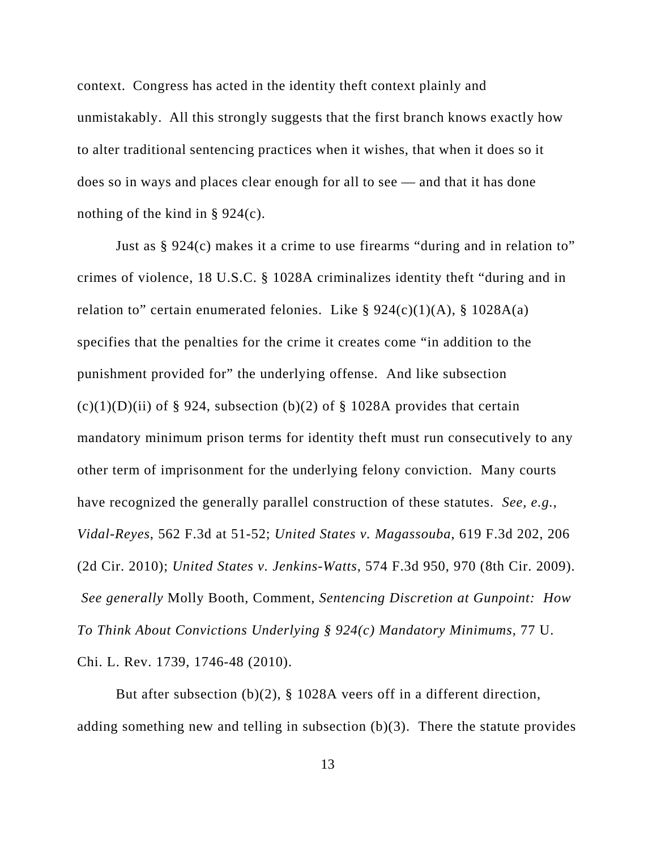context. Congress has acted in the identity theft context plainly and unmistakably. All this strongly suggests that the first branch knows exactly how to alter traditional sentencing practices when it wishes, that when it does so it does so in ways and places clear enough for all to see — and that it has done nothing of the kind in § 924(c).

Just as § 924(c) makes it a crime to use firearms "during and in relation to" crimes of violence, 18 U.S.C. § 1028A criminalizes identity theft "during and in relation to" certain enumerated felonies. Like  $\S 924(c)(1)(A)$ ,  $\S 1028A(a)$ specifies that the penalties for the crime it creates come "in addition to the punishment provided for" the underlying offense. And like subsection  $(c)(1)(D)(ii)$  of § 924, subsection (b)(2) of § 1028A provides that certain mandatory minimum prison terms for identity theft must run consecutively to any other term of imprisonment for the underlying felony conviction. Many courts have recognized the generally parallel construction of these statutes. *See, e.g.*, *Vidal-Reyes*, 562 F.3d at 51-52; *United States v. Magassouba*, 619 F.3d 202, 206 (2d Cir. 2010); *United States v. Jenkins-Watts*, 574 F.3d 950, 970 (8th Cir. 2009).  *See generally* Molly Booth, Comment, *Sentencing Discretion at Gunpoint: How To Think About Convictions Underlying § 924(c) Mandatory Minimums*, 77 U. Chi. L. Rev. 1739, 1746-48 (2010).

But after subsection (b)(2), § 1028A veers off in a different direction, adding something new and telling in subsection (b)(3). There the statute provides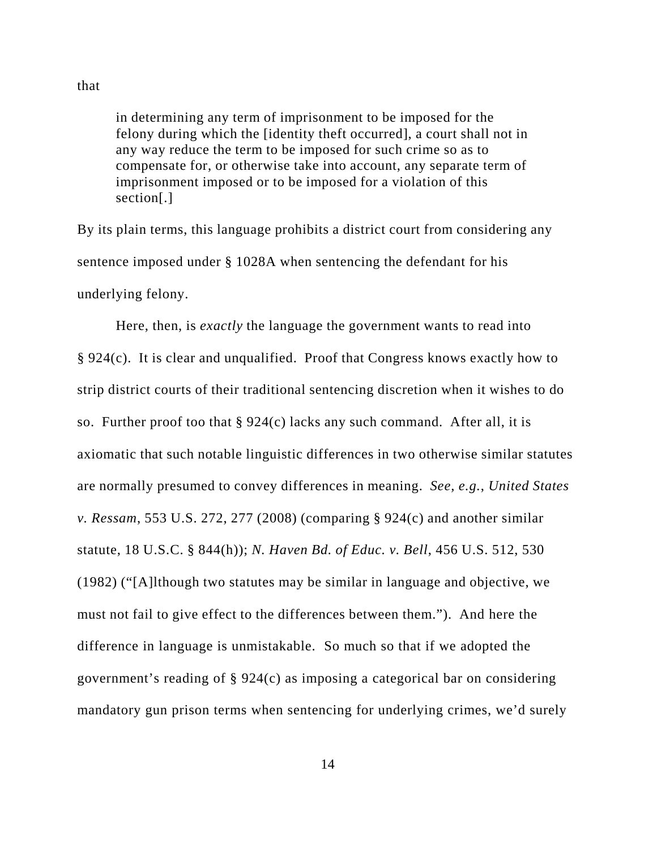that

in determining any term of imprisonment to be imposed for the felony during which the [identity theft occurred], a court shall not in any way reduce the term to be imposed for such crime so as to compensate for, or otherwise take into account, any separate term of imprisonment imposed or to be imposed for a violation of this section[.]

By its plain terms, this language prohibits a district court from considering any sentence imposed under § 1028A when sentencing the defendant for his underlying felony.

Here, then, is *exactly* the language the government wants to read into § 924(c). It is clear and unqualified. Proof that Congress knows exactly how to strip district courts of their traditional sentencing discretion when it wishes to do so. Further proof too that  $\S 924(c)$  lacks any such command. After all, it is axiomatic that such notable linguistic differences in two otherwise similar statutes are normally presumed to convey differences in meaning. *See, e.g.*, *United States v. Ressam*, 553 U.S. 272, 277 (2008) (comparing § 924(c) and another similar statute, 18 U.S.C. § 844(h)); *N. Haven Bd. of Educ. v. Bell*, 456 U.S. 512, 530 (1982) ("[A]lthough two statutes may be similar in language and objective, we must not fail to give effect to the differences between them."). And here the difference in language is unmistakable. So much so that if we adopted the government's reading of § 924(c) as imposing a categorical bar on considering mandatory gun prison terms when sentencing for underlying crimes, we'd surely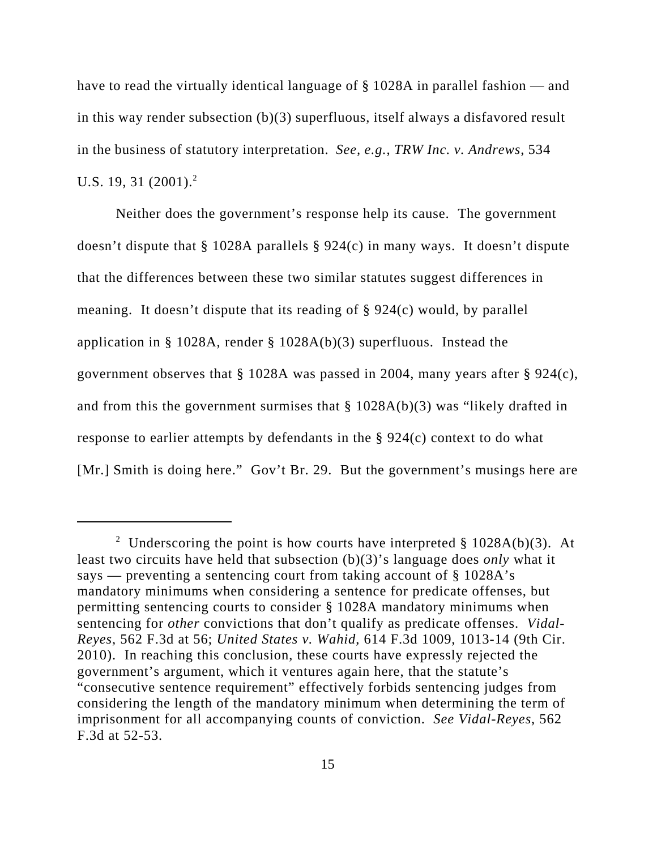have to read the virtually identical language of § 1028A in parallel fashion — and in this way render subsection (b)(3) superfluous, itself always a disfavored result in the business of statutory interpretation. *See, e.g.*, *TRW Inc. v. Andrews*, 534 U.S. 19, 31  $(2001)^2$ 

Neither does the government's response help its cause. The government doesn't dispute that § 1028A parallels § 924(c) in many ways. It doesn't dispute that the differences between these two similar statutes suggest differences in meaning. It doesn't dispute that its reading of § 924(c) would, by parallel application in § 1028A, render § 1028A(b)(3) superfluous. Instead the government observes that § 1028A was passed in 2004, many years after § 924(c), and from this the government surmises that  $\S 1028A(b)(3)$  was "likely drafted in response to earlier attempts by defendants in the § 924(c) context to do what [Mr.] Smith is doing here." Gov't Br. 29. But the government's musings here are

<sup>&</sup>lt;sup>2</sup> Underscoring the point is how courts have interpreted § 1028A(b)(3). At least two circuits have held that subsection (b)(3)'s language does *only* what it says — preventing a sentencing court from taking account of § 1028A's mandatory minimums when considering a sentence for predicate offenses, but permitting sentencing courts to consider § 1028A mandatory minimums when sentencing for *other* convictions that don't qualify as predicate offenses. *Vidal-Reyes*, 562 F.3d at 56; *United States v. Wahid*, 614 F.3d 1009, 1013-14 (9th Cir. 2010). In reaching this conclusion, these courts have expressly rejected the government's argument, which it ventures again here, that the statute's "consecutive sentence requirement" effectively forbids sentencing judges from considering the length of the mandatory minimum when determining the term of imprisonment for all accompanying counts of conviction. *See Vidal-Reyes*, 562 F.3d at 52-53.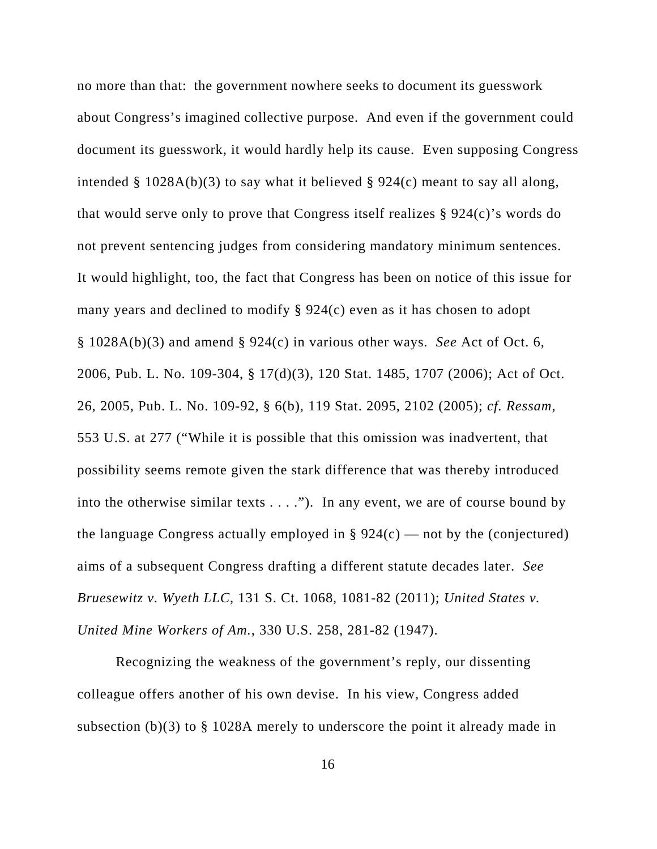no more than that: the government nowhere seeks to document its guesswork about Congress's imagined collective purpose. And even if the government could document its guesswork, it would hardly help its cause. Even supposing Congress intended  $\S$  1028A(b)(3) to say what it believed  $\S$  924(c) meant to say all along, that would serve only to prove that Congress itself realizes § 924(c)'s words do not prevent sentencing judges from considering mandatory minimum sentences. It would highlight, too, the fact that Congress has been on notice of this issue for many years and declined to modify § 924(c) even as it has chosen to adopt § 1028A(b)(3) and amend § 924(c) in various other ways. *See* Act of Oct. 6, 2006, Pub. L. No. 109-304, § 17(d)(3), 120 Stat. 1485, 1707 (2006); Act of Oct. 26, 2005, Pub. L. No. 109-92, § 6(b), 119 Stat. 2095, 2102 (2005); *cf. Ressam*, 553 U.S. at 277 ("While it is possible that this omission was inadvertent, that possibility seems remote given the stark difference that was thereby introduced into the otherwise similar texts  $\dots$ ."). In any event, we are of course bound by the language Congress actually employed in  $\S 924(c)$  — not by the (conjectured) aims of a subsequent Congress drafting a different statute decades later. *See Bruesewitz v. Wyeth LLC*, 131 S. Ct. 1068, 1081-82 (2011); *United States v. United Mine Workers of Am.*, 330 U.S. 258, 281-82 (1947).

Recognizing the weakness of the government's reply, our dissenting colleague offers another of his own devise. In his view, Congress added subsection (b)(3) to § 1028A merely to underscore the point it already made in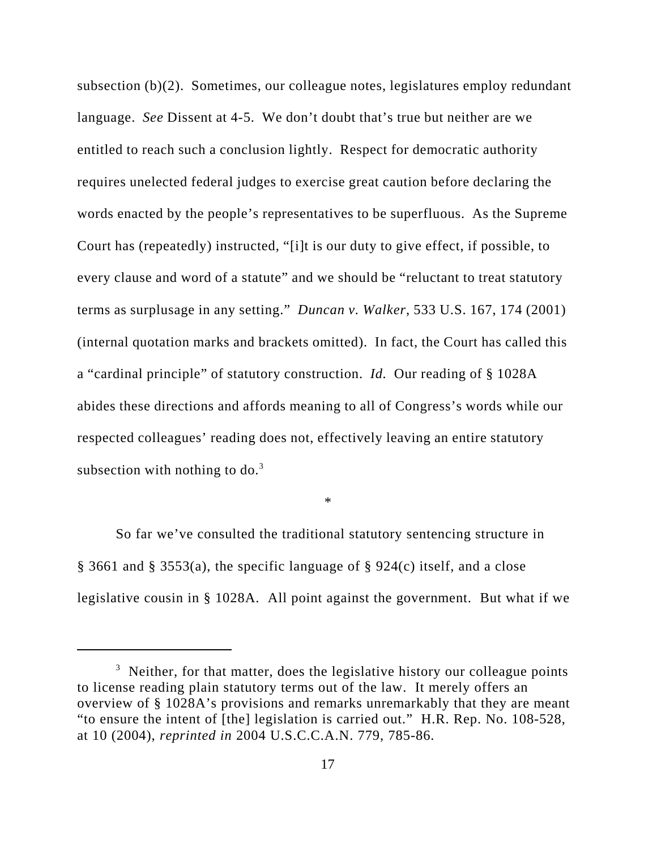subsection (b)(2). Sometimes, our colleague notes, legislatures employ redundant language. *See* Dissent at 4-5. We don't doubt that's true but neither are we entitled to reach such a conclusion lightly. Respect for democratic authority requires unelected federal judges to exercise great caution before declaring the words enacted by the people's representatives to be superfluous. As the Supreme Court has (repeatedly) instructed, "[i]t is our duty to give effect, if possible, to every clause and word of a statute" and we should be "reluctant to treat statutory terms as surplusage in any setting." *Duncan v. Walker*, 533 U.S. 167, 174 (2001) (internal quotation marks and brackets omitted). In fact, the Court has called this a "cardinal principle" of statutory construction. *Id.* Our reading of § 1028A abides these directions and affords meaning to all of Congress's words while our respected colleagues' reading does not, effectively leaving an entire statutory subsection with nothing to  $do.<sup>3</sup>$ 

\*

So far we've consulted the traditional statutory sentencing structure in § 3661 and § 3553(a), the specific language of § 924(c) itself, and a close legislative cousin in § 1028A. All point against the government. But what if we

 $3$  Neither, for that matter, does the legislative history our colleague points to license reading plain statutory terms out of the law. It merely offers an overview of § 1028A's provisions and remarks unremarkably that they are meant "to ensure the intent of [the] legislation is carried out." H.R. Rep. No. 108-528, at 10 (2004), *reprinted in* 2004 U.S.C.C.A.N. 779, 785-86.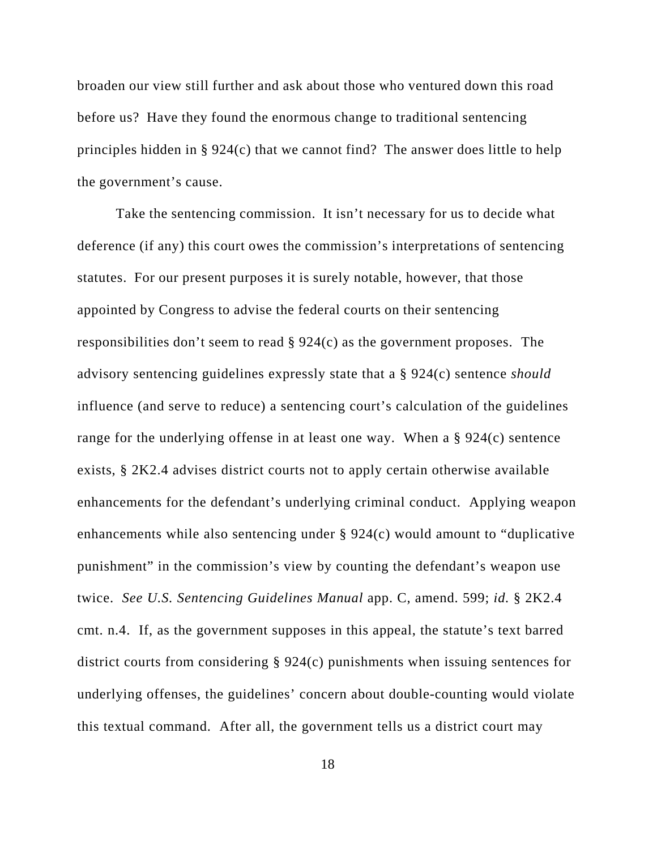broaden our view still further and ask about those who ventured down this road before us? Have they found the enormous change to traditional sentencing principles hidden in § 924(c) that we cannot find? The answer does little to help the government's cause.

Take the sentencing commission. It isn't necessary for us to decide what deference (if any) this court owes the commission's interpretations of sentencing statutes. For our present purposes it is surely notable, however, that those appointed by Congress to advise the federal courts on their sentencing responsibilities don't seem to read § 924(c) as the government proposes. The advisory sentencing guidelines expressly state that a § 924(c) sentence *should* influence (and serve to reduce) a sentencing court's calculation of the guidelines range for the underlying offense in at least one way. When a § 924(c) sentence exists, § 2K2.4 advises district courts not to apply certain otherwise available enhancements for the defendant's underlying criminal conduct. Applying weapon enhancements while also sentencing under § 924(c) would amount to "duplicative punishment" in the commission's view by counting the defendant's weapon use twice. *See U.S. Sentencing Guidelines Manual* app. C, amend. 599; *id.* § 2K2.4 cmt. n.4. If, as the government supposes in this appeal, the statute's text barred district courts from considering § 924(c) punishments when issuing sentences for underlying offenses, the guidelines' concern about double-counting would violate this textual command. After all, the government tells us a district court may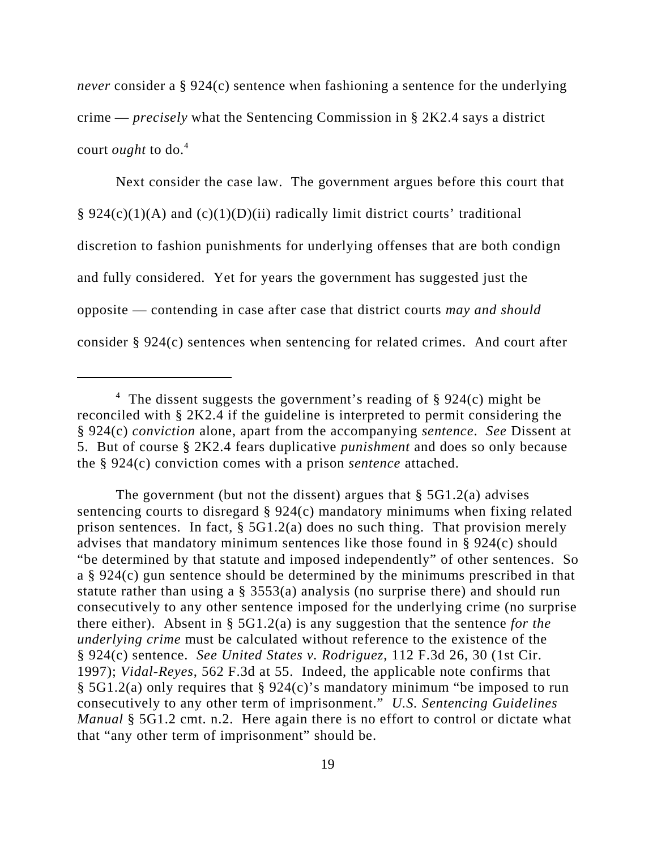*never* consider a § 924(c) sentence when fashioning a sentence for the underlying crime — *precisely* what the Sentencing Commission in § 2K2.4 says a district court *ought* to do.4

Next consider the case law. The government argues before this court that § 924(c)(1)(A) and (c)(1)(D)(ii) radically limit district courts' traditional discretion to fashion punishments for underlying offenses that are both condign and fully considered. Yet for years the government has suggested just the opposite — contending in case after case that district courts *may and should* consider § 924(c) sentences when sentencing for related crimes. And court after

The government (but not the dissent) argues that  $\S$  5G1.2(a) advises sentencing courts to disregard § 924(c) mandatory minimums when fixing related prison sentences. In fact, § 5G1.2(a) does no such thing. That provision merely advises that mandatory minimum sentences like those found in § 924(c) should "be determined by that statute and imposed independently" of other sentences. So a § 924(c) gun sentence should be determined by the minimums prescribed in that statute rather than using a § 3553(a) analysis (no surprise there) and should run consecutively to any other sentence imposed for the underlying crime (no surprise there either). Absent in § 5G1.2(a) is any suggestion that the sentence *for the underlying crime* must be calculated without reference to the existence of the § 924(c) sentence. *See United States v. Rodriguez*, 112 F.3d 26, 30 (1st Cir. 1997); *Vidal-Reyes*, 562 F.3d at 55. Indeed, the applicable note confirms that § 5G1.2(a) only requires that § 924(c)'s mandatory minimum "be imposed to run consecutively to any other term of imprisonment." *U.S. Sentencing Guidelines Manual* § 5G1.2 cmt. n.2. Here again there is no effort to control or dictate what that "any other term of imprisonment" should be.

<sup>&</sup>lt;sup>4</sup> The dissent suggests the government's reading of  $\S$  924(c) might be reconciled with § 2K2.4 if the guideline is interpreted to permit considering the § 924(c) *conviction* alone, apart from the accompanying *sentence*. *See* Dissent at 5. But of course § 2K2.4 fears duplicative *punishment* and does so only because the § 924(c) conviction comes with a prison *sentence* attached.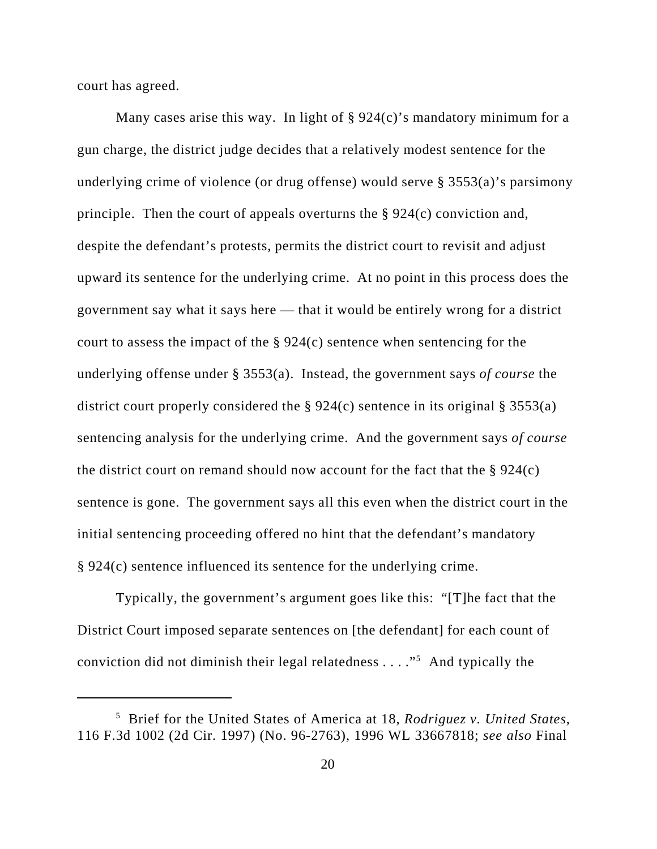court has agreed.

Many cases arise this way. In light of  $\S 924(c)$ 's mandatory minimum for a gun charge, the district judge decides that a relatively modest sentence for the underlying crime of violence (or drug offense) would serve § 3553(a)'s parsimony principle. Then the court of appeals overturns the § 924(c) conviction and, despite the defendant's protests, permits the district court to revisit and adjust upward its sentence for the underlying crime. At no point in this process does the government say what it says here — that it would be entirely wrong for a district court to assess the impact of the  $\S 924(c)$  sentence when sentencing for the underlying offense under § 3553(a). Instead, the government says *of course* the district court properly considered the § 924(c) sentence in its original § 3553(a) sentencing analysis for the underlying crime. And the government says *of course* the district court on remand should now account for the fact that the  $\S 924(c)$ sentence is gone. The government says all this even when the district court in the initial sentencing proceeding offered no hint that the defendant's mandatory § 924(c) sentence influenced its sentence for the underlying crime.

Typically, the government's argument goes like this: "[T]he fact that the District Court imposed separate sentences on [the defendant] for each count of conviction did not diminish their legal relatedness  $\dots$ ."<sup>5</sup> And typically the

<sup>5</sup> Brief for the United States of America at 18, *Rodriguez v. United States*, 116 F.3d 1002 (2d Cir. 1997) (No. 96-2763), 1996 WL 33667818; *see also* Final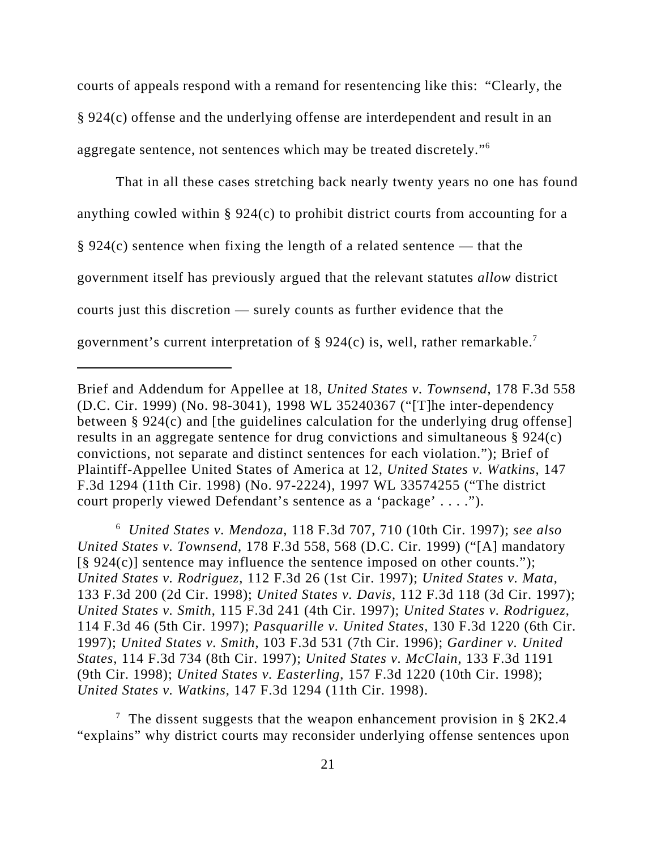courts of appeals respond with a remand for resentencing like this: "Clearly, the § 924(c) offense and the underlying offense are interdependent and result in an aggregate sentence, not sentences which may be treated discretely."<sup>6</sup>

That in all these cases stretching back nearly twenty years no one has found anything cowled within § 924(c) to prohibit district courts from accounting for a  $\S 924(c)$  sentence when fixing the length of a related sentence — that the government itself has previously argued that the relevant statutes *allow* district courts just this discretion — surely counts as further evidence that the government's current interpretation of § 924(c) is, well, rather remarkable.<sup>7</sup>

6 *United States v. Mendoza*, 118 F.3d 707, 710 (10th Cir. 1997); *see also United States v. Townsend*, 178 F.3d 558, 568 (D.C. Cir. 1999) ("[A] mandatory  $[\S 924(c)]$  sentence may influence the sentence imposed on other counts."); *United States v. Rodriguez*, 112 F.3d 26 (1st Cir. 1997); *United States v. Mata*, 133 F.3d 200 (2d Cir. 1998); *United States v. Davis*, 112 F.3d 118 (3d Cir. 1997); *United States v. Smith*, 115 F.3d 241 (4th Cir. 1997); *United States v. Rodriguez*, 114 F.3d 46 (5th Cir. 1997); *Pasquarille v. United States*, 130 F.3d 1220 (6th Cir. 1997); *United States v. Smith*, 103 F.3d 531 (7th Cir. 1996); *Gardiner v. United States*, 114 F.3d 734 (8th Cir. 1997); *United States v. McClain*, 133 F.3d 1191 (9th Cir. 1998); *United States v. Easterling*, 157 F.3d 1220 (10th Cir. 1998); *United States v. Watkins*, 147 F.3d 1294 (11th Cir. 1998).

Brief and Addendum for Appellee at 18, *United States v. Townsend*, 178 F.3d 558 (D.C. Cir. 1999) (No. 98-3041), 1998 WL 35240367 ("[T]he inter-dependency between  $\S 924(c)$  and [the guidelines calculation for the underlying drug offense] results in an aggregate sentence for drug convictions and simultaneous § 924(c) convictions, not separate and distinct sentences for each violation."); Brief of Plaintiff-Appellee United States of America at 12, *United States v. Watkins*, 147 F.3d 1294 (11th Cir. 1998) (No. 97-2224), 1997 WL 33574255 ("The district court properly viewed Defendant's sentence as a 'package' . . . .").

<sup>&</sup>lt;sup>7</sup> The dissent suggests that the weapon enhancement provision in § 2K2.4 "explains" why district courts may reconsider underlying offense sentences upon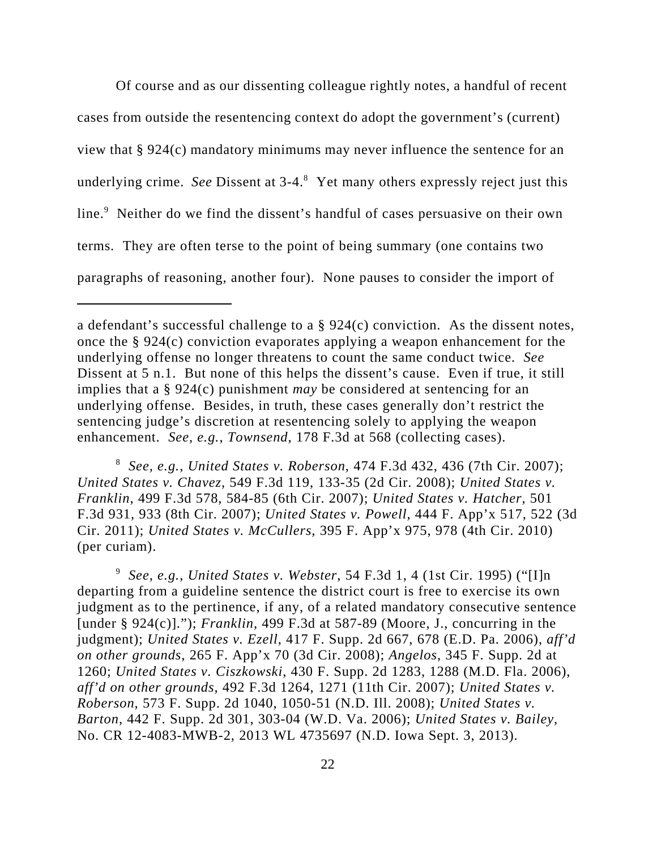Of course and as our dissenting colleague rightly notes, a handful of recent cases from outside the resentencing context do adopt the government's (current) view that § 924(c) mandatory minimums may never influence the sentence for an underlying crime. See Dissent at 3-4.<sup>8</sup> Yet many others expressly reject just this line.<sup>9</sup> Neither do we find the dissent's handful of cases persuasive on their own terms. They are often terse to the point of being summary (one contains two paragraphs of reasoning, another four). None pauses to consider the import of

8 *See, e.g.*, *United States v. Roberson*, 474 F.3d 432, 436 (7th Cir. 2007); *United States v. Chavez*, 549 F.3d 119, 133-35 (2d Cir. 2008); *United States v. Franklin*, 499 F.3d 578, 584-85 (6th Cir. 2007); *United States v. Hatcher*, 501 F.3d 931, 933 (8th Cir. 2007); *United States v. Powell*, 444 F. App'x 517, 522 (3d Cir. 2011); *United States v. McCullers*, 395 F. App'x 975, 978 (4th Cir. 2010) (per curiam).

<sup>9</sup> *See, e.g.*, *United States v. Webster*, 54 F.3d 1, 4 (1st Cir. 1995) ("[I]n departing from a guideline sentence the district court is free to exercise its own judgment as to the pertinence, if any, of a related mandatory consecutive sentence [under § 924(c)]."); *Franklin*, 499 F.3d at 587-89 (Moore, J., concurring in the judgment); *United States v. Ezell*, 417 F. Supp. 2d 667, 678 (E.D. Pa. 2006), *aff'd on other grounds*, 265 F. App'x 70 (3d Cir. 2008); *Angelos*, 345 F. Supp. 2d at 1260; *United States v. Ciszkowski*, 430 F. Supp. 2d 1283, 1288 (M.D. Fla. 2006), *aff'd on other grounds*, 492 F.3d 1264, 1271 (11th Cir. 2007); *United States v. Roberson*, 573 F. Supp. 2d 1040, 1050-51 (N.D. Ill. 2008); *United States v. Barton*, 442 F. Supp. 2d 301, 303-04 (W.D. Va. 2006); *United States v. Bailey*, No. CR 12-4083-MWB-2, 2013 WL 4735697 (N.D. Iowa Sept. 3, 2013).

a defendant's successful challenge to a § 924(c) conviction. As the dissent notes, once the § 924(c) conviction evaporates applying a weapon enhancement for the underlying offense no longer threatens to count the same conduct twice. *See* Dissent at 5 n.1. But none of this helps the dissent's cause. Even if true, it still implies that a § 924(c) punishment *may* be considered at sentencing for an underlying offense. Besides, in truth, these cases generally don't restrict the sentencing judge's discretion at resentencing solely to applying the weapon enhancement. *See, e.g.*, *Townsend*, 178 F.3d at 568 (collecting cases).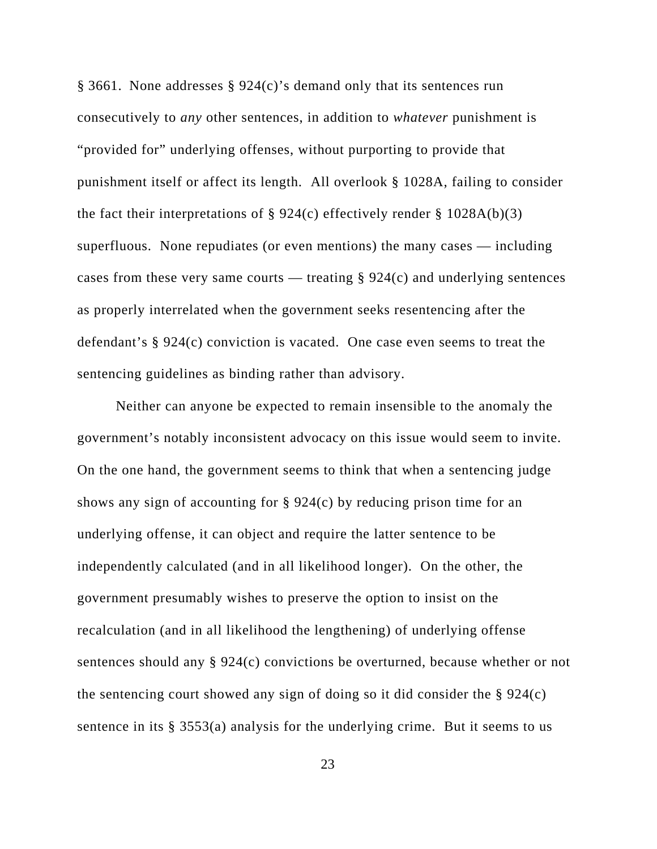§ 3661. None addresses § 924(c)'s demand only that its sentences run consecutively to *any* other sentences, in addition to *whatever* punishment is "provided for" underlying offenses, without purporting to provide that punishment itself or affect its length. All overlook § 1028A, failing to consider the fact their interpretations of  $\S 924(c)$  effectively render  $\S 1028A(b)(3)$ superfluous. None repudiates (or even mentions) the many cases — including cases from these very same courts — treating  $\S 924(c)$  and underlying sentences as properly interrelated when the government seeks resentencing after the defendant's § 924(c) conviction is vacated. One case even seems to treat the sentencing guidelines as binding rather than advisory.

Neither can anyone be expected to remain insensible to the anomaly the government's notably inconsistent advocacy on this issue would seem to invite. On the one hand, the government seems to think that when a sentencing judge shows any sign of accounting for  $\S 924(c)$  by reducing prison time for an underlying offense, it can object and require the latter sentence to be independently calculated (and in all likelihood longer). On the other, the government presumably wishes to preserve the option to insist on the recalculation (and in all likelihood the lengthening) of underlying offense sentences should any § 924(c) convictions be overturned, because whether or not the sentencing court showed any sign of doing so it did consider the § 924(c) sentence in its § 3553(a) analysis for the underlying crime. But it seems to us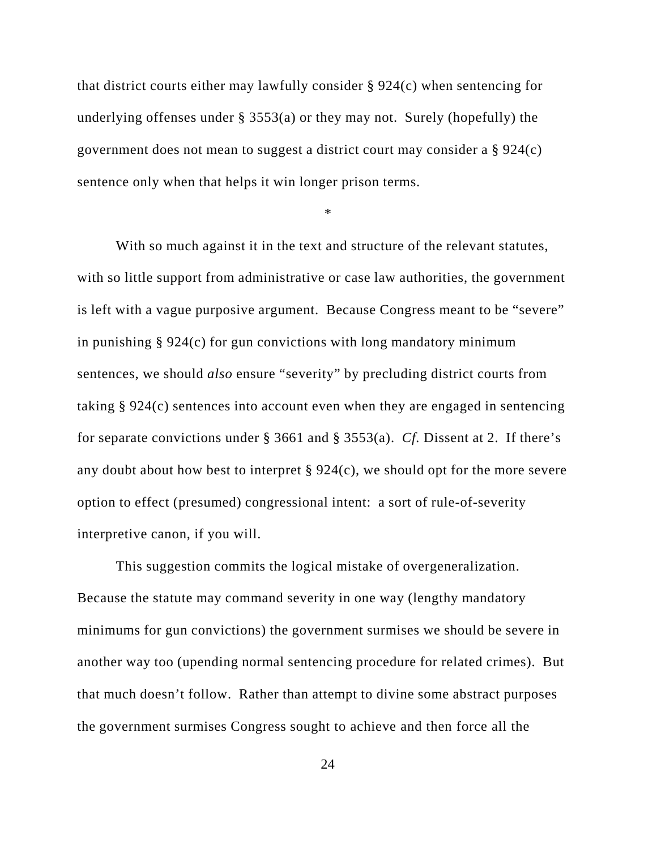that district courts either may lawfully consider § 924(c) when sentencing for underlying offenses under  $\S$  3553(a) or they may not. Surely (hopefully) the government does not mean to suggest a district court may consider a § 924(c) sentence only when that helps it win longer prison terms.

\*

With so much against it in the text and structure of the relevant statutes, with so little support from administrative or case law authorities, the government is left with a vague purposive argument. Because Congress meant to be "severe" in punishing § 924(c) for gun convictions with long mandatory minimum sentences, we should *also* ensure "severity" by precluding district courts from taking § 924(c) sentences into account even when they are engaged in sentencing for separate convictions under § 3661 and § 3553(a). *Cf.* Dissent at 2. If there's any doubt about how best to interpret § 924(c), we should opt for the more severe option to effect (presumed) congressional intent: a sort of rule-of-severity interpretive canon, if you will.

This suggestion commits the logical mistake of overgeneralization. Because the statute may command severity in one way (lengthy mandatory minimums for gun convictions) the government surmises we should be severe in another way too (upending normal sentencing procedure for related crimes). But that much doesn't follow. Rather than attempt to divine some abstract purposes the government surmises Congress sought to achieve and then force all the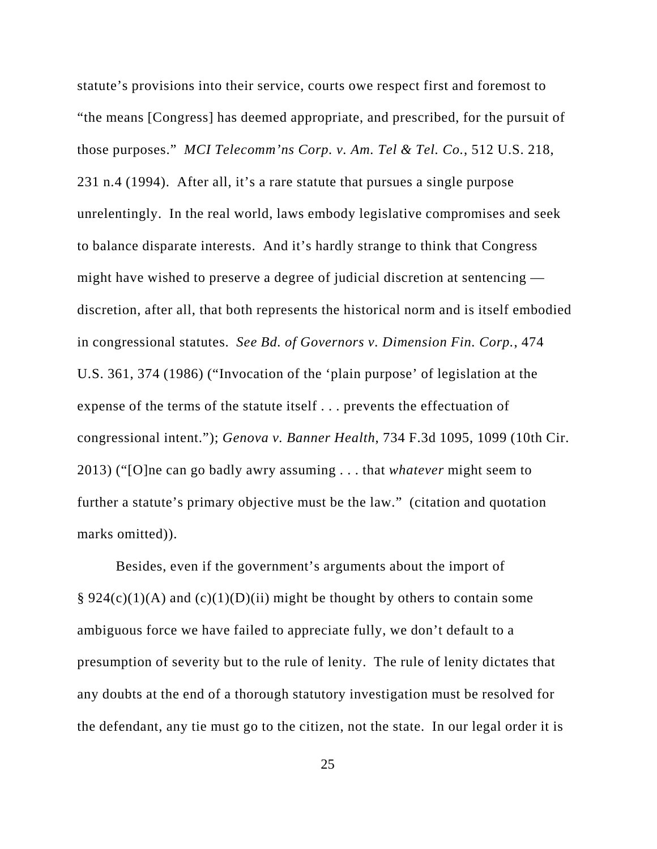statute's provisions into their service, courts owe respect first and foremost to "the means [Congress] has deemed appropriate, and prescribed, for the pursuit of those purposes." *MCI Telecomm'ns Corp. v. Am. Tel & Tel. Co.*, 512 U.S. 218, 231 n.4 (1994). After all, it's a rare statute that pursues a single purpose unrelentingly. In the real world, laws embody legislative compromises and seek to balance disparate interests. And it's hardly strange to think that Congress might have wished to preserve a degree of judicial discretion at sentencing discretion, after all, that both represents the historical norm and is itself embodied in congressional statutes. *See Bd. of Governors v. Dimension Fin. Corp.*, 474 U.S. 361, 374 (1986) ("Invocation of the 'plain purpose' of legislation at the expense of the terms of the statute itself . . . prevents the effectuation of congressional intent."); *Genova v. Banner Health*, 734 F.3d 1095, 1099 (10th Cir. 2013) ("[O]ne can go badly awry assuming . . . that *whatever* might seem to further a statute's primary objective must be the law." (citation and quotation marks omitted)).

Besides, even if the government's arguments about the import of § 924(c)(1)(A) and (c)(1)(D)(ii) might be thought by others to contain some ambiguous force we have failed to appreciate fully, we don't default to a presumption of severity but to the rule of lenity. The rule of lenity dictates that any doubts at the end of a thorough statutory investigation must be resolved for the defendant, any tie must go to the citizen, not the state. In our legal order it is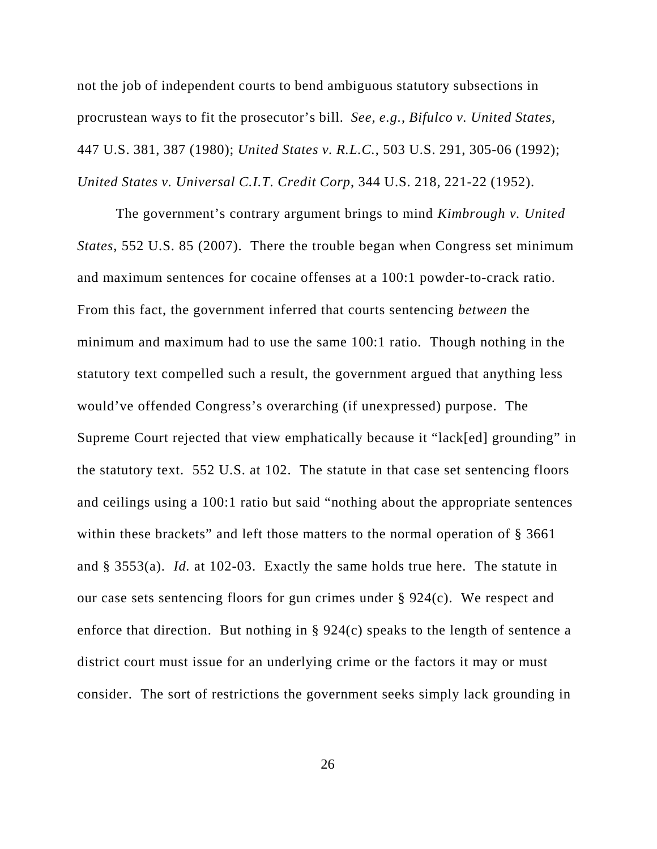not the job of independent courts to bend ambiguous statutory subsections in procrustean ways to fit the prosecutor's bill. *See, e.g.*, *Bifulco v. United States*, 447 U.S. 381, 387 (1980); *United States v. R.L.C.*, 503 U.S. 291, 305-06 (1992); *United States v. Universal C.I.T. Credit Corp*, 344 U.S. 218, 221-22 (1952).

The government's contrary argument brings to mind *Kimbrough v. United States*, 552 U.S. 85 (2007). There the trouble began when Congress set minimum and maximum sentences for cocaine offenses at a 100:1 powder-to-crack ratio. From this fact, the government inferred that courts sentencing *between* the minimum and maximum had to use the same 100:1 ratio. Though nothing in the statutory text compelled such a result, the government argued that anything less would've offended Congress's overarching (if unexpressed) purpose. The Supreme Court rejected that view emphatically because it "lack[ed] grounding" in the statutory text. 552 U.S. at 102. The statute in that case set sentencing floors and ceilings using a 100:1 ratio but said "nothing about the appropriate sentences within these brackets" and left those matters to the normal operation of § 3661 and § 3553(a). *Id.* at 102-03. Exactly the same holds true here. The statute in our case sets sentencing floors for gun crimes under § 924(c). We respect and enforce that direction. But nothing in § 924(c) speaks to the length of sentence a district court must issue for an underlying crime or the factors it may or must consider. The sort of restrictions the government seeks simply lack grounding in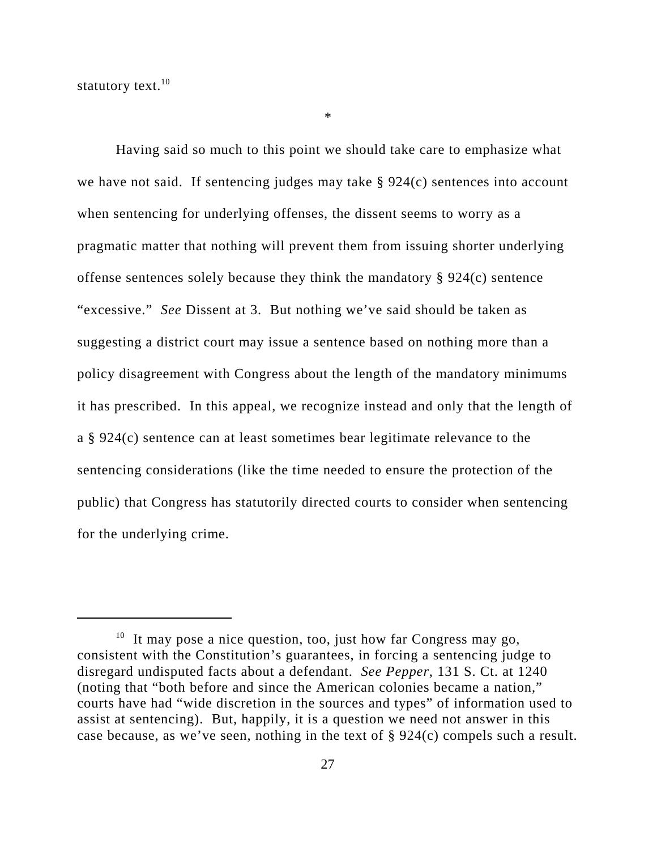statutory text. $10$ 

Having said so much to this point we should take care to emphasize what we have not said. If sentencing judges may take § 924(c) sentences into account when sentencing for underlying offenses, the dissent seems to worry as a pragmatic matter that nothing will prevent them from issuing shorter underlying offense sentences solely because they think the mandatory § 924(c) sentence "excessive." *See* Dissent at 3. But nothing we've said should be taken as suggesting a district court may issue a sentence based on nothing more than a policy disagreement with Congress about the length of the mandatory minimums it has prescribed. In this appeal, we recognize instead and only that the length of a § 924(c) sentence can at least sometimes bear legitimate relevance to the sentencing considerations (like the time needed to ensure the protection of the public) that Congress has statutorily directed courts to consider when sentencing for the underlying crime.

\*

 $10$  It may pose a nice question, too, just how far Congress may go, consistent with the Constitution's guarantees, in forcing a sentencing judge to disregard undisputed facts about a defendant. *See Pepper*, 131 S. Ct. at 1240 (noting that "both before and since the American colonies became a nation," courts have had "wide discretion in the sources and types" of information used to assist at sentencing). But, happily, it is a question we need not answer in this case because, as we've seen, nothing in the text of § 924(c) compels such a result.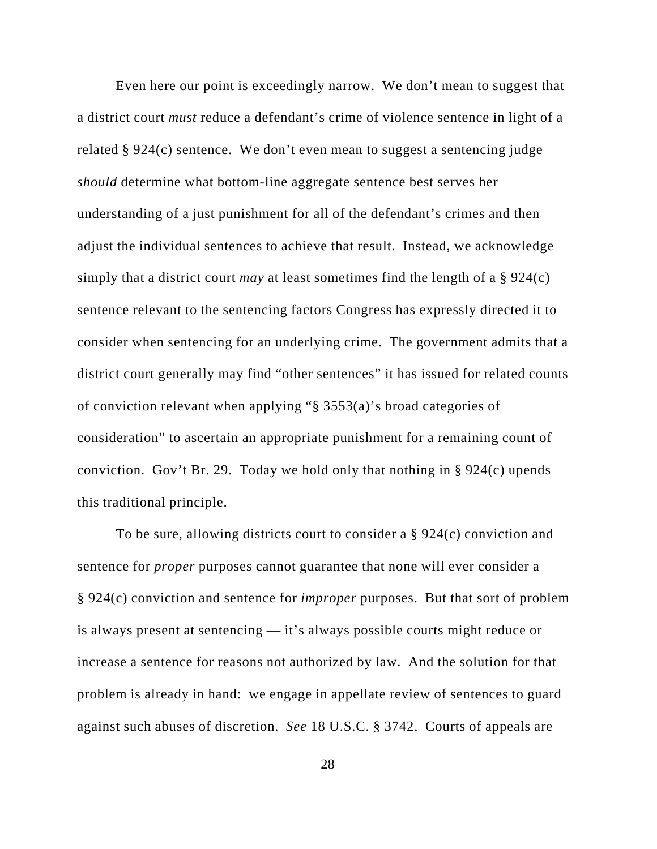Even here our point is exceedingly narrow. We don't mean to suggest that a district court *must* reduce a defendant's crime of violence sentence in light of a related § 924(c) sentence. We don't even mean to suggest a sentencing judge *should* determine what bottom-line aggregate sentence best serves her understanding of a just punishment for all of the defendant's crimes and then adjust the individual sentences to achieve that result. Instead, we acknowledge simply that a district court *may* at least sometimes find the length of a § 924(c) sentence relevant to the sentencing factors Congress has expressly directed it to consider when sentencing for an underlying crime. The government admits that a district court generally may find "other sentences" it has issued for related counts of conviction relevant when applying "§ 3553(a)'s broad categories of consideration" to ascertain an appropriate punishment for a remaining count of conviction. Gov't Br. 29. Today we hold only that nothing in § 924(c) upends this traditional principle.

To be sure, allowing districts court to consider a § 924(c) conviction and sentence for *proper* purposes cannot guarantee that none will ever consider a § 924(c) conviction and sentence for *improper* purposes. But that sort of problem is always present at sentencing — it's always possible courts might reduce or increase a sentence for reasons not authorized by law. And the solution for that problem is already in hand: we engage in appellate review of sentences to guard against such abuses of discretion. *See* 18 U.S.C. § 3742. Courts of appeals are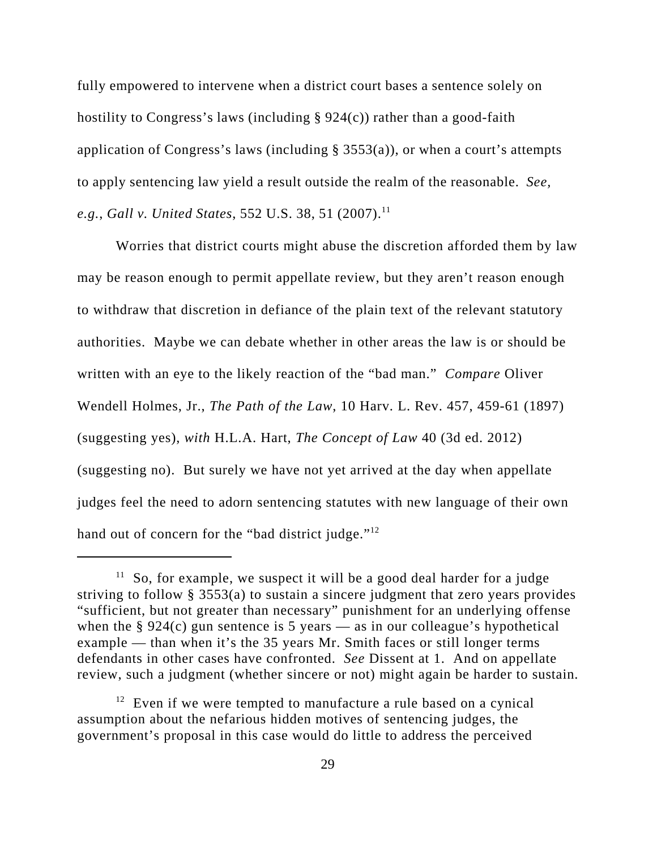fully empowered to intervene when a district court bases a sentence solely on hostility to Congress's laws (including  $\S 924(c)$ ) rather than a good-faith application of Congress's laws (including  $\S$  3553(a)), or when a court's attempts to apply sentencing law yield a result outside the realm of the reasonable. *See, e.g., Gall v. United States, 552 U.S. 38, 51 (2007).*<sup>11</sup>

Worries that district courts might abuse the discretion afforded them by law may be reason enough to permit appellate review, but they aren't reason enough to withdraw that discretion in defiance of the plain text of the relevant statutory authorities. Maybe we can debate whether in other areas the law is or should be written with an eye to the likely reaction of the "bad man." *Compare* Oliver Wendell Holmes, Jr., *The Path of the Law*, 10 Harv. L. Rev. 457, 459-61 (1897) (suggesting yes), *with* H.L.A. Hart, *The Concept of Law* 40 (3d ed. 2012) (suggesting no). But surely we have not yet arrived at the day when appellate judges feel the need to adorn sentencing statutes with new language of their own hand out of concern for the "bad district judge."<sup>12</sup>

 $11$  So, for example, we suspect it will be a good deal harder for a judge striving to follow § 3553(a) to sustain a sincere judgment that zero years provides "sufficient, but not greater than necessary" punishment for an underlying offense when the  $\S 924(c)$  gun sentence is 5 years — as in our colleague's hypothetical example — than when it's the 35 years Mr. Smith faces or still longer terms defendants in other cases have confronted. *See* Dissent at 1. And on appellate review, such a judgment (whether sincere or not) might again be harder to sustain.

 $12$  Even if we were tempted to manufacture a rule based on a cynical assumption about the nefarious hidden motives of sentencing judges, the government's proposal in this case would do little to address the perceived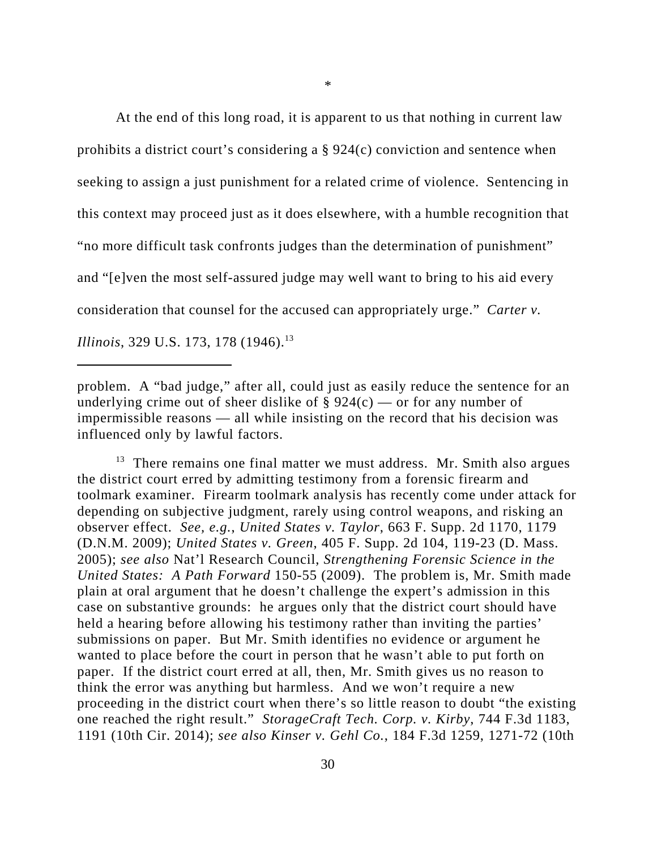At the end of this long road, it is apparent to us that nothing in current law prohibits a district court's considering a § 924(c) conviction and sentence when seeking to assign a just punishment for a related crime of violence. Sentencing in this context may proceed just as it does elsewhere, with a humble recognition that "no more difficult task confronts judges than the determination of punishment" and "[e]ven the most self-assured judge may well want to bring to his aid every consideration that counsel for the accused can appropriately urge." *Carter v. Illinois*, 329 U.S. 173, 178 (1946).<sup>13</sup>

problem. A "bad judge," after all, could just as easily reduce the sentence for an underlying crime out of sheer dislike of  $\S 924(c)$  — or for any number of impermissible reasons — all while insisting on the record that his decision was influenced only by lawful factors.

 $13$  There remains one final matter we must address. Mr. Smith also argues the district court erred by admitting testimony from a forensic firearm and toolmark examiner. Firearm toolmark analysis has recently come under attack for depending on subjective judgment, rarely using control weapons, and risking an observer effect. *See, e.g.*, *United States v. Taylor*, 663 F. Supp. 2d 1170, 1179 (D.N.M. 2009); *United States v. Green*, 405 F. Supp. 2d 104, 119-23 (D. Mass. 2005); *see also* Nat'l Research Council, *Strengthening Forensic Science in the United States: A Path Forward* 150-55 (2009). The problem is, Mr. Smith made plain at oral argument that he doesn't challenge the expert's admission in this case on substantive grounds: he argues only that the district court should have held a hearing before allowing his testimony rather than inviting the parties' submissions on paper. But Mr. Smith identifies no evidence or argument he wanted to place before the court in person that he wasn't able to put forth on paper. If the district court erred at all, then, Mr. Smith gives us no reason to think the error was anything but harmless. And we won't require a new proceeding in the district court when there's so little reason to doubt "the existing one reached the right result." *StorageCraft Tech. Corp. v. Kirby*, 744 F.3d 1183, 1191 (10th Cir. 2014); *see also Kinser v. Gehl Co.*, 184 F.3d 1259, 1271-72 (10th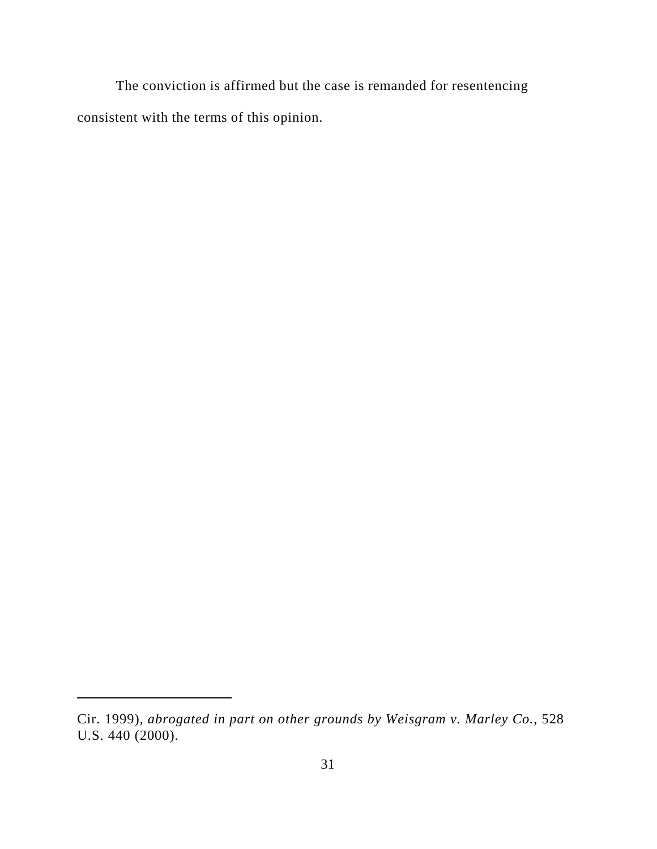The conviction is affirmed but the case is remanded for resentencing consistent with the terms of this opinion.

Cir. 1999), *abrogated in part on other grounds by Weisgram v. Marley Co.*, 528 U.S. 440 (2000).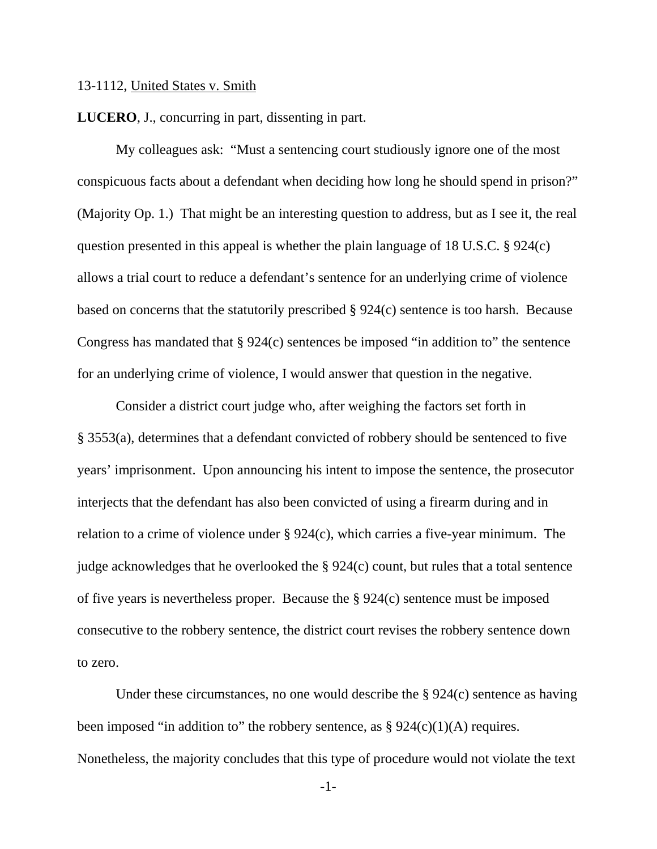#### 13-1112, United States v. Smith

**LUCERO**, J., concurring in part, dissenting in part.

 My colleagues ask: "Must a sentencing court studiously ignore one of the most conspicuous facts about a defendant when deciding how long he should spend in prison?" (Majority Op. 1.) That might be an interesting question to address, but as I see it, the real question presented in this appeal is whether the plain language of 18 U.S.C. § 924(c) allows a trial court to reduce a defendant's sentence for an underlying crime of violence based on concerns that the statutorily prescribed § 924(c) sentence is too harsh. Because Congress has mandated that § 924(c) sentences be imposed "in addition to" the sentence for an underlying crime of violence, I would answer that question in the negative.

 Consider a district court judge who, after weighing the factors set forth in § 3553(a), determines that a defendant convicted of robbery should be sentenced to five years' imprisonment. Upon announcing his intent to impose the sentence, the prosecutor interjects that the defendant has also been convicted of using a firearm during and in relation to a crime of violence under § 924(c), which carries a five-year minimum. The judge acknowledges that he overlooked the § 924(c) count, but rules that a total sentence of five years is nevertheless proper. Because the § 924(c) sentence must be imposed consecutive to the robbery sentence, the district court revises the robbery sentence down to zero.

Under these circumstances, no one would describe the  $\S 924(c)$  sentence as having been imposed "in addition to" the robbery sentence, as  $\S 924(c)(1)(A)$  requires. Nonetheless, the majority concludes that this type of procedure would not violate the text

-1-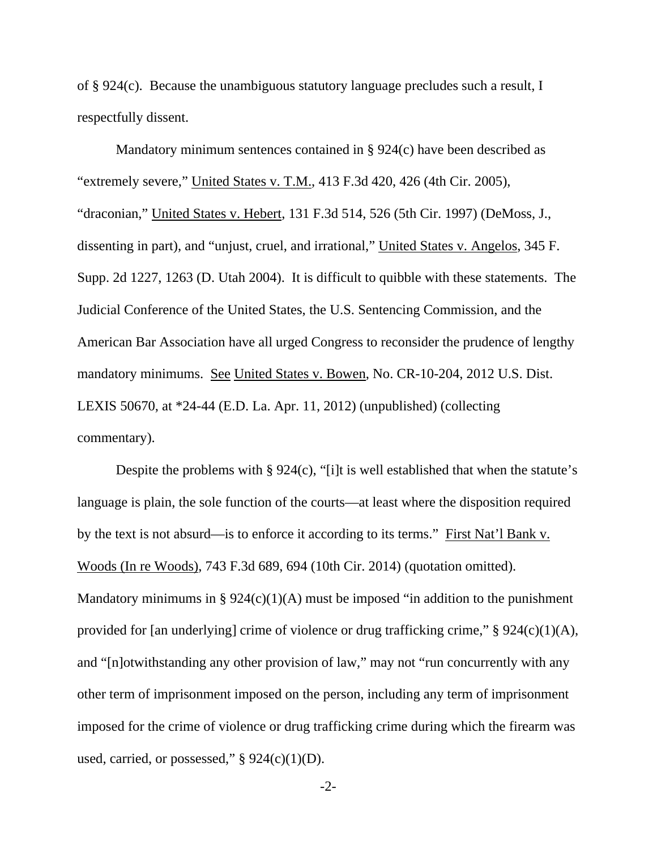of § 924(c). Because the unambiguous statutory language precludes such a result, I respectfully dissent.

 Mandatory minimum sentences contained in § 924(c) have been described as "extremely severe," United States v. T.M., 413 F.3d 420, 426 (4th Cir. 2005), "draconian," United States v. Hebert, 131 F.3d 514, 526 (5th Cir. 1997) (DeMoss, J., dissenting in part), and "unjust, cruel, and irrational," United States v. Angelos, 345 F. Supp. 2d 1227, 1263 (D. Utah 2004). It is difficult to quibble with these statements. The Judicial Conference of the United States, the U.S. Sentencing Commission, and the American Bar Association have all urged Congress to reconsider the prudence of lengthy mandatory minimums. See United States v. Bowen, No. CR-10-204, 2012 U.S. Dist. LEXIS 50670, at \*24-44 (E.D. La. Apr. 11, 2012) (unpublished) (collecting commentary).

 Despite the problems with § 924(c), "[i]t is well established that when the statute's language is plain, the sole function of the courts—at least where the disposition required by the text is not absurd—is to enforce it according to its terms." First Nat'l Bank v. Woods (In re Woods), 743 F.3d 689, 694 (10th Cir. 2014) (quotation omitted). Mandatory minimums in §  $924(c)(1)(A)$  must be imposed "in addition to the punishment provided for [an underlying] crime of violence or drug trafficking crime," § 924(c)(1)(A), and "[n]otwithstanding any other provision of law," may not "run concurrently with any other term of imprisonment imposed on the person, including any term of imprisonment imposed for the crime of violence or drug trafficking crime during which the firearm was used, carried, or possessed,"  $\S$  924(c)(1)(D).

-2-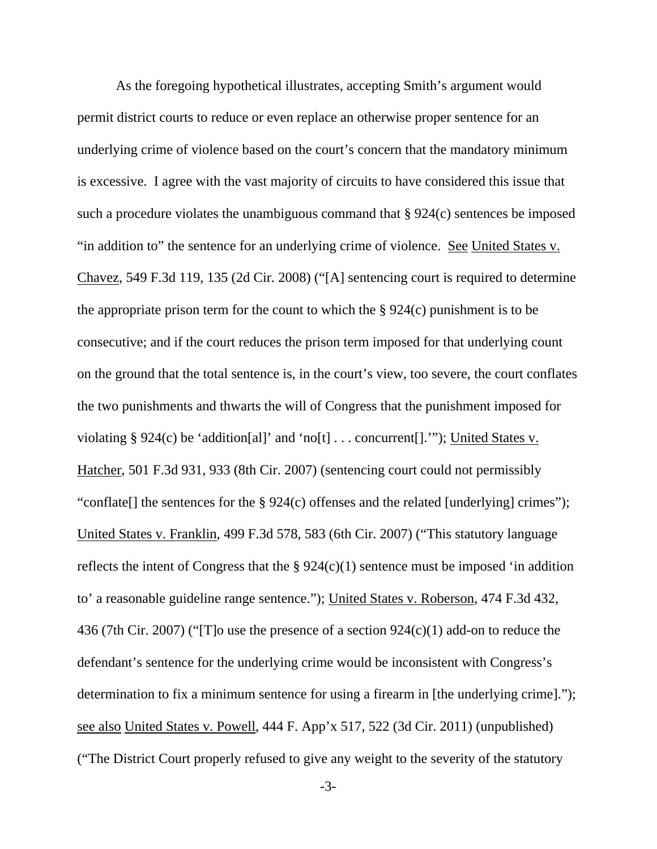As the foregoing hypothetical illustrates, accepting Smith's argument would permit district courts to reduce or even replace an otherwise proper sentence for an underlying crime of violence based on the court's concern that the mandatory minimum is excessive. I agree with the vast majority of circuits to have considered this issue that such a procedure violates the unambiguous command that § 924(c) sentences be imposed "in addition to" the sentence for an underlying crime of violence. See United States v. Chavez, 549 F.3d 119, 135 (2d Cir. 2008) ("[A] sentencing court is required to determine the appropriate prison term for the count to which the  $\S 924(c)$  punishment is to be consecutive; and if the court reduces the prison term imposed for that underlying count on the ground that the total sentence is, in the court's view, too severe, the court conflates the two punishments and thwarts the will of Congress that the punishment imposed for violating § 924(c) be 'addition[al]' and 'no[t]  $\dots$  concurrent[].'"); United States v. Hatcher, 501 F.3d 931, 933 (8th Cir. 2007) (sentencing court could not permissibly "conflate[] the sentences for the § 924(c) offenses and the related [underlying] crimes"); United States v. Franklin, 499 F.3d 578, 583 (6th Cir. 2007) ("This statutory language reflects the intent of Congress that the  $\S 924(c)(1)$  sentence must be imposed 'in addition to' a reasonable guideline range sentence."); United States v. Roberson, 474 F.3d 432, 436 (7th Cir. 2007) ("[T]o use the presence of a section 924(c)(1) add-on to reduce the defendant's sentence for the underlying crime would be inconsistent with Congress's determination to fix a minimum sentence for using a firearm in [the underlying crime]."); see also United States v. Powell, 444 F. App'x 517, 522 (3d Cir. 2011) (unpublished) ("The District Court properly refused to give any weight to the severity of the statutory

-3-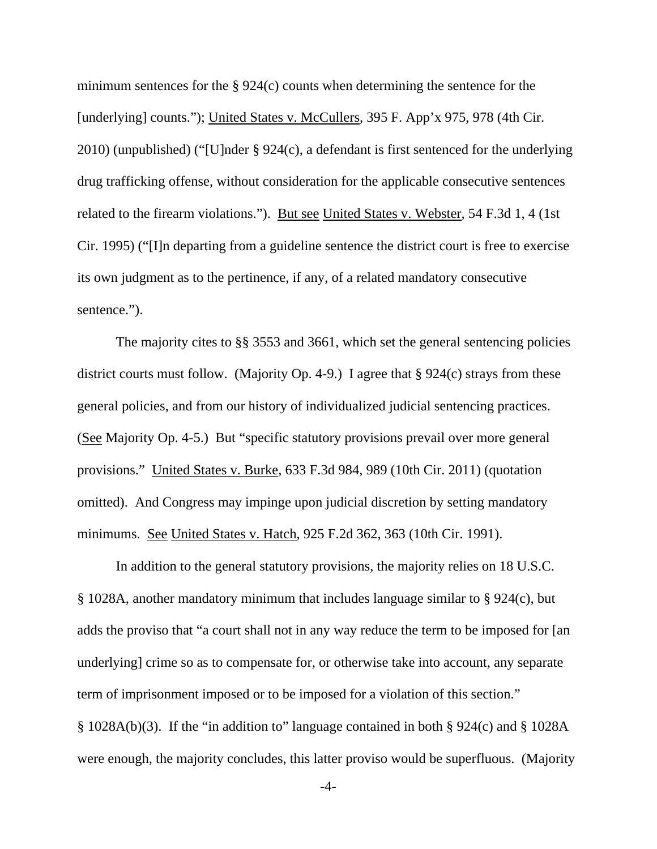minimum sentences for the § 924(c) counts when determining the sentence for the [underlying] counts."); United States v. McCullers, 395 F. App'x 975, 978 (4th Cir. 2010) (unpublished) ("[U]nder § 924(c), a defendant is first sentenced for the underlying drug trafficking offense, without consideration for the applicable consecutive sentences related to the firearm violations."). But see United States v. Webster, 54 F.3d 1, 4 (1st Cir. 1995) ("[I]n departing from a guideline sentence the district court is free to exercise its own judgment as to the pertinence, if any, of a related mandatory consecutive sentence.").

 The majority cites to §§ 3553 and 3661, which set the general sentencing policies district courts must follow. (Majority Op. 4-9.) I agree that § 924(c) strays from these general policies, and from our history of individualized judicial sentencing practices. (See Majority Op. 4-5.) But "specific statutory provisions prevail over more general provisions." United States v. Burke, 633 F.3d 984, 989 (10th Cir. 2011) (quotation omitted). And Congress may impinge upon judicial discretion by setting mandatory minimums. See United States v. Hatch, 925 F.2d 362, 363 (10th Cir. 1991).

 In addition to the general statutory provisions, the majority relies on 18 U.S.C. § 1028A, another mandatory minimum that includes language similar to § 924(c), but adds the proviso that "a court shall not in any way reduce the term to be imposed for [an underlying] crime so as to compensate for, or otherwise take into account, any separate term of imprisonment imposed or to be imposed for a violation of this section." § 1028A(b)(3). If the "in addition to" language contained in both § 924(c) and § 1028A were enough, the majority concludes, this latter proviso would be superfluous. (Majority

-4-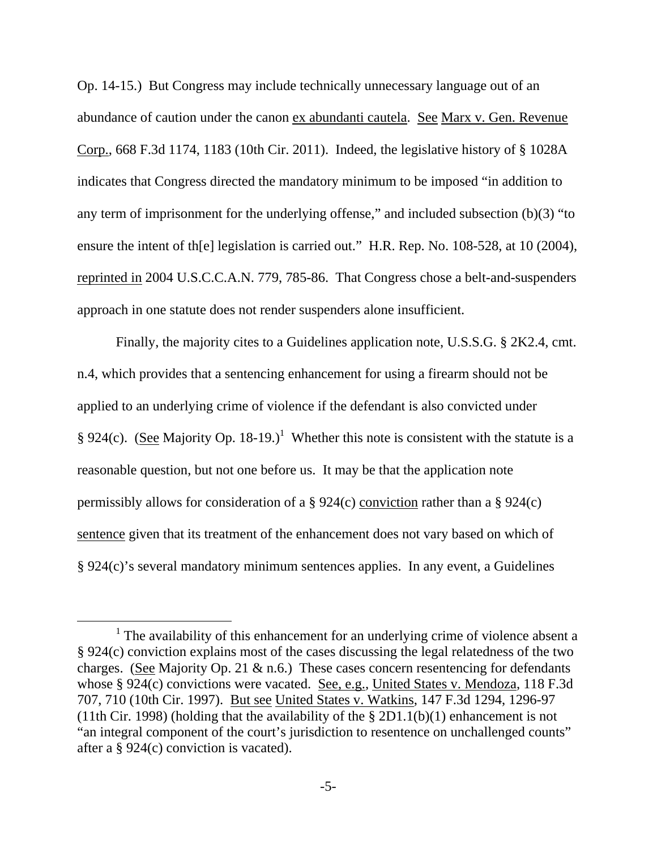Op. 14-15.) But Congress may include technically unnecessary language out of an abundance of caution under the canon ex abundanti cautela. See Marx v. Gen. Revenue Corp., 668 F.3d 1174, 1183 (10th Cir. 2011). Indeed, the legislative history of § 1028A indicates that Congress directed the mandatory minimum to be imposed "in addition to any term of imprisonment for the underlying offense," and included subsection (b)(3) "to ensure the intent of th[e] legislation is carried out." H.R. Rep. No. 108-528, at 10 (2004), reprinted in 2004 U.S.C.C.A.N. 779, 785-86. That Congress chose a belt-and-suspenders approach in one statute does not render suspenders alone insufficient.

 Finally, the majority cites to a Guidelines application note, U.S.S.G. § 2K2.4, cmt. n.4, which provides that a sentencing enhancement for using a firearm should not be applied to an underlying crime of violence if the defendant is also convicted under § 924(c). (See Majority Op. 18-19.)<sup>1</sup> Whether this note is consistent with the statute is a reasonable question, but not one before us. It may be that the application note permissibly allows for consideration of a § 924(c) conviction rather than a § 924(c) sentence given that its treatment of the enhancement does not vary based on which of § 924(c)'s several mandatory minimum sentences applies. In any event, a Guidelines

<sup>&</sup>lt;u>1</u> <sup>1</sup> The availability of this enhancement for an underlying crime of violence absent a § 924(c) conviction explains most of the cases discussing the legal relatedness of the two charges. (See Majority Op. 21  $\&$  n.6.) These cases concern resentencing for defendants whose § 924(c) convictions were vacated. See, e.g., United States v. Mendoza, 118 F.3d 707, 710 (10th Cir. 1997). But see United States v. Watkins, 147 F.3d 1294, 1296-97 (11th Cir. 1998) (holding that the availability of the  $\S 2D1.1(b)(1)$  enhancement is not "an integral component of the court's jurisdiction to resentence on unchallenged counts" after a § 924(c) conviction is vacated).